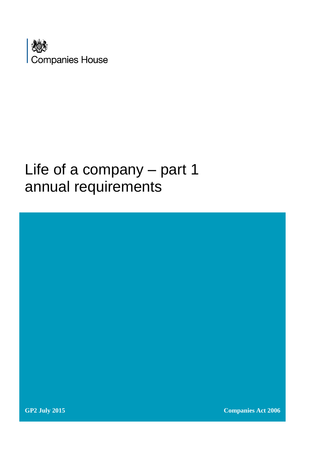

# Life of a company – part 1 annual requirements

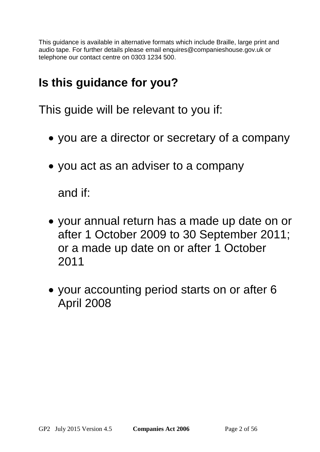This guidance is available in alternative formats which include Braille, large print and audio tape. For further details please email [enquires@companieshouse.gov.uk](mailto:enquires@companieshouse.gov.uk) or telephone our contact centre on 0303 1234 500.

## **Is this guidance for you?**

This guide will be relevant to you if:

- you are a director or secretary of a company
- you act as an adviser to a company

and if:

- your annual return has a made up date on or after 1 October 2009 to 30 September 2011; or a made up date on or after 1 October 2011
- your accounting period starts on or after 6 April 2008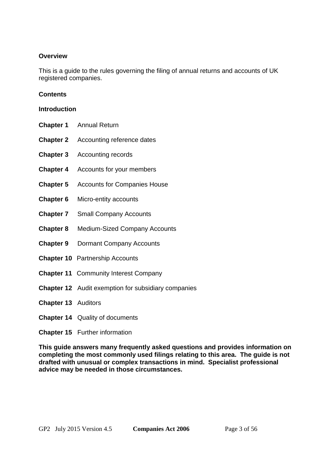## **Overview**

This is a guide to the rules governing the filing of annual returns and accounts of UK registered companies.

#### **Contents**

#### **[Introduction](#page-3-0)**

- **[Chapter 1](#page-5-0)** Annual Return
- **[Chapter 2](#page-13-0)** Accounting reference dates
- **[Chapter 3](#page-15-0)** Accounting records
- **[Chapter 4](#page-15-1)** Accounts for your members
- **[Chapter 5](#page-18-0)** Accounts for Companies House
- **[Chapter 6](#page-24-0)** Micro-entity accounts
- **[Chapter 7](#page-26-0)** Small Company Accounts
- **[Chapter 8](#page-33-0)** Medium-Sized Company Accounts
- **[Chapter 9](#page-36-0)** Dormant Company Accounts
- **[Chapter 10](#page-41-0)** Partnership Accounts
- **[Chapter 11](#page-44-0)** Community Interest Company
- **[Chapter 12](#page-45-0)** Audit exemption for subsidiary companies
- **[Chapter 13](#page-47-0)** Auditors
- **[Chapter 14](#page-52-0)** Quality of documents
- **[Chapter 15](#page-53-0)** Further information

**This guide answers many frequently asked questions and provides information on completing the most commonly used filings relating to this area. The guide is not drafted with unusual or complex transactions in mind. Specialist professional advice may be needed in those circumstances.**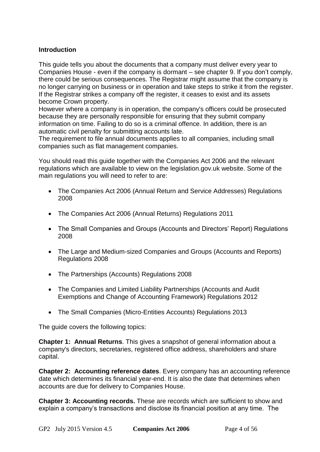## <span id="page-3-0"></span>**Introduction**

This guide tells you about the documents that a company must deliver every year to Companies House - even if the company is dormant – see [chapter 9.](#page-36-0) If you don't comply, there could be serious consequences. The Registrar might assume that the company is no longer carrying on business or in operation and take steps to strike it from the register. If the Registrar strikes a company off the register, it ceases to exist and its assets become Crown property.

However where a company is in operation, the company's officers could be prosecuted because they are personally responsible for ensuring that they submit company information on time. Failing to do so is a criminal offence. In addition, there is an automatic civil penalty for submitting accounts late.

The requirement to file annual documents applies to all companies, including small companies such as flat management companies.

You should read this guide together with the [Companies Act 2006](http://www.opsi.gov.uk/acts/acts2006/ukpga_20060046_en_1) and the relevant regulations which are available to view on the [legislation.gov.uk](http://www.legislation.gov.uk/) website. Some of the main regulations you will need to refer to are:

- [The Companies Act 2006 \(Annual Return and Service Addresses\) Regulations](http://www.legislation.gov.uk/uksi/2008/3000/contents/made)  [2008](http://www.legislation.gov.uk/uksi/2008/3000/contents/made)
- [The Companies Act 2006 \(Annual Returns\) Regulations 2011](http://www.legislation.gov.uk/uksi/2011/1487/contents/made)
- [The Small Companies and Groups \(Accounts and Directors' Report\) Regulations](http://www.legislation.gov.uk/uksi/2008/409/contents/made)  [2008](http://www.legislation.gov.uk/uksi/2008/409/contents/made)
- The Large and Medium-sized Companies and Groups (Accounts and Reports) [Regulations 2008](http://www.legislation.gov.uk/uksi/2008/410/contents/made)
- [The Partnerships \(Accounts\) Regulations 2008](http://www.legislation.gov.uk/uksi/2008/569/contents/made)
- The Companies and Limited Liability Partnerships (Accounts and Audit [Exemptions and Change of Accounting Framework\) Regulations 2012](http://www.legislation.gov.uk/uksi/2012/2301/contents/made)
- [The Small Companies \(Micro-Entities Accounts\) Regulations 2013](http://www.legislation.gov.uk/ukdsi/2013/9780111105207/contents)

The guide covers the following topics:

**Chapter 1: Annual Returns**. This gives a snapshot of general information about a company's directors, secretaries, registered office address, shareholders and share capital.

**Chapter 2: Accounting reference dates**. Every company has an accounting reference date which determines its financial year-end. It is also the date that determines when accounts are due for delivery to Companies House.

**Chapter 3: Accounting records.** These are records which are sufficient to show and explain a company's transactions and disclose its financial position at any time. The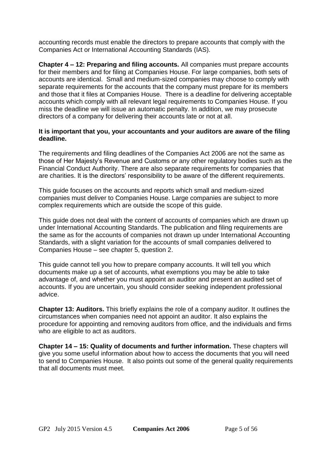accounting records must enable the directors to prepare accounts that comply with the Companies Act or International Accounting Standards (IAS).

**Chapter 4 – 12: Preparing and filing accounts.** All companies must prepare accounts for their members and for filing at Companies House. For large companies, both sets of accounts are identical. Small and medium-sized companies may choose to comply with separate requirements for the accounts that the company must prepare for its members and those that it files at Companies House. There is a deadline for delivering acceptable accounts which comply with all relevant legal requirements to Companies House. [If you](http://www.companieshouse.gov.uk/about/gbhtml/gp5.shtml)  [miss the deadline we will issue an automatic penalty.](http://www.companieshouse.gov.uk/about/gbhtml/gp5.shtml) In addition, we may prosecute directors of a company for delivering their accounts late or not at all.

#### **It is important that you, your accountants and your [auditors](#page-44-0) are aware of the filing deadline.**

The requirements and filing deadlines of the Companies Act 2006 are not the same as those of Her Majesty's Revenue and Customs or any other regulatory bodies such as the Financial Conduct Authority. There are also separate requirements for companies that are charities. It is the directors' responsibility to be aware of the different requirements.

This guide focuses on the accounts and reports which small and medium-sized companies must deliver to Companies House. Large companies are subject to more complex requirements which are outside the scope of this guide.

This guide does not deal with the content of accounts of companies which are drawn up under International Accounting Standards. The publication and filing requirements are the same as for the accounts of companies not drawn up under International Accounting Standards, with a slight variation for the accounts of small companies delivered to Companies House – see [chapter 5, question 2.](#page-18-1)

This guide cannot tell you how to prepare company accounts. It will tell you which documents make up a set of accounts, what exemptions you may be able to take advantage of, and whether you must appoint an auditor and present an audited set of accounts. If you are uncertain, you should consider seeking independent professional advice.

**Chapter 13: Auditors.** This briefly explains the role of a company auditor. It outlines the circumstances when companies need not appoint an auditor. It also explains the procedure for appointing and removing auditors from office, and the individuals and firms who are eligible to act as auditors.

**Chapter 14 – 15: Quality of documents and further information.** These chapters will give you some useful information about how to access the documents that you will need to send to Companies House. It also points out some of the general quality requirements that all documents must meet.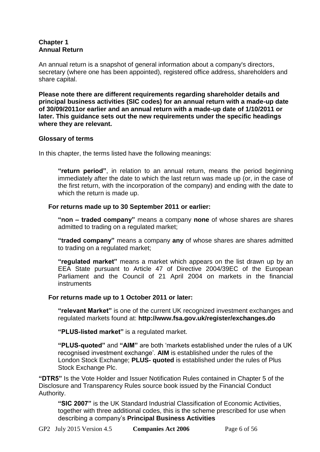## <span id="page-5-0"></span>**Chapter 1 Annual Return**

An annual return is a snapshot of general information about a company's directors, secretary (where one has been appointed), registered office address, shareholders and share capital.

**Please note there are different requirements regarding shareholder details and principal business activities (SIC codes) for an annual return with a made-up date of 30/09/2011or earlier and an annual return with a made-up date of 1/10/2011 or later. This guidance sets out the new requirements under the specific headings where they are relevant.**

#### **Glossary of terms**

In this chapter, the terms listed have the following meanings:

**"return period"**, in relation to an annual return, means the period beginning immediately after the date to which the last return was made up (or, in the case of the first return, with the incorporation of the company) and ending with the date to which the return is made up.

## **For returns made up to 30 September 2011 or earlier:**

<span id="page-5-1"></span>**"non – traded company"** means a company **none** of whose shares are shares admitted to trading on a regulated market;

<span id="page-5-2"></span>**"traded company"** means a company **any** of whose shares are shares admitted to trading on a regulated market;

**"regulated market"** means a market which appears on the list drawn up by an EEA State pursuant to [Article 47 of Directive 2004/39EC](http://eur-lex.europa.eu/LexUriServ/LexUriServ.do?uri=OJ:C:2008:057:0021:0027:EN:PDF) of the European Parliament and the Council of 21 April 2004 on markets in the financial **instruments** 

#### **For returns made up to 1 October 2011 or later:**

**"relevant Market"** is one of the current UK recognized investment exchanges and regulated markets found at: **<http://www.fsa.gov.uk/register/exchanges.do>**

**"PLUS-listed market"** is a regulated market.

**"PLUS-quoted"** and **"AIM"** are both 'markets established under the rules of a UK recognised investment exchange'. **AIM** is established under the rules of the London Stock Exchange; **PLUS- quoted** is established under the rules of Plus Stock Exchange Plc.

**"DTR5"** Is the Vote Holder and Issuer Notification Rules contained in [Chapter 5](#page-18-0) of the Disclosure and Transparency Rules source book issued by the Financial Conduct Authority.

**"SIC 2007"** is the UK Standard Industrial Classification of Economic Activities, together with three additional codes, this is the scheme prescribed for use when describing a company's **[Principal Business Activities](http://www.companieshouse.gov.uk/infoAndGuide/sic/sic2007.shtml)**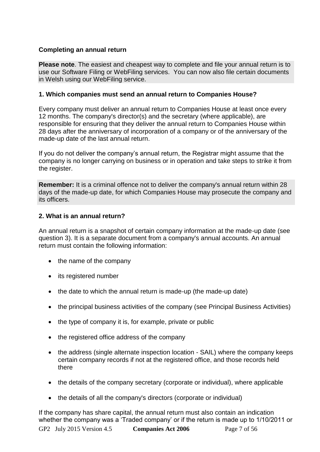## **Completing an annual return**

**Please note**. The easiest and cheapest way to complete and file your annual return is to use our [Software Filing](http://www.companieshouse.gov.uk/toolsToHelp/efiling.shtml) or [WebFiling](http://www.companieshouse.gov.uk/infoAndGuide/faq/webFiling.shtml) services. You can now also file certain documents in Welsh using our WebFiling service.

## **1. Which companies must send an annual return to Companies House?**

Every company must deliver an annual return to Companies House at least once every 12 months. The company's director(s) and the secretary (where applicable), are responsible for ensuring that they deliver the annual return to Companies House within 28 days after the anniversary of incorporation of a company or of the anniversary of the made-up date of the last annual return.

If you do not deliver the company's annual return, the Registrar might assume that the company is no longer carrying on business or in operation and take steps to strike it from the register.

**Remember:** It is a criminal offence not to deliver the company's annual return within 28 days of the made-up date, for which Companies House may prosecute the company and its officers.

## **2. What is an annual return?**

An annual return is a snapshot of certain company information at the made-up date [\(see](#page-7-0)  [question 3\)](#page-7-0). It is a separate document from a company's annual accounts. An annual return must contain the following information:

- the name of the company
- its registered number
- the date to which the annual return is made-up (the made-up date)
- the principal business activities of the company (see [Principal Business Activities\)](http://www.companieshouse.gov.uk/about/miscellaneous/principalBusActivitiesList.shtml)
- the type of company it is, for example, private or public
- the registered office address of the company
- the address (single alternate inspection location SAIL) where the company keeps certain company records if not at the registered office, and those records held there
- the details of the company secretary (corporate or individual), where applicable
- the details of all the company's directors (corporate or individual)

GP2 July 2015 Version 4.5 **Companies Act 2006** Page 7 of 56 If the company has share capital, the annual return must also contain an indication whether the company was a 'Traded company' or if the return is made up to 1/10/2011 or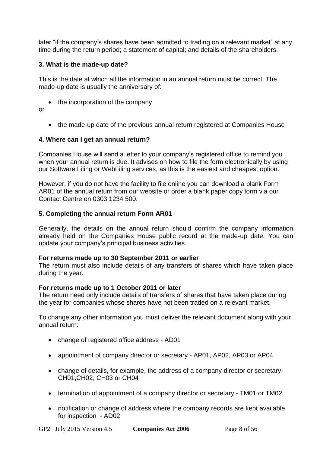later "if the company's shares have been admitted to trading on a relevant market" at any time during the return period; a statement of capital; and details of the shareholders.

## <span id="page-7-0"></span>**3. What is the made-up date?**

This is the date at which all the information in an annual return must be correct. The made-up date is usually the anniversary of:

• the incorporation of the company

or

• the made-up date of the previous annual return registered at Companies House

#### **4. Where can I get an annual return?**

Companies House will send a letter to your company's registered office to remind you when your annual return is due. It advises on how to file the form electronically by using our Software Filing or WebFiling services, as this is the easiest and cheapest option.

However, if you do not have the facility to file online you can download a [blank Form](http://www.companieshouse.gov.uk/forms/formsContinuation.shtml#AR01)  [AR01](http://www.companieshouse.gov.uk/forms/formsContinuation.shtml#AR01) of the annual return from our website or order a blank paper copy form via our Contact Centre on 0303 1234 500.

## **5. Completing the annual return Form AR01**

Generally, the details on the annual return should confirm the company information already held on the Companies House public record at the made-up date. You can update your company's principal business activities.

#### **For returns made up to 30 September 2011 or earlier**

The return must also include details of any transfers of shares which have taken place during the year.

#### **For returns made up to 1 October 2011 or later**

The return need only include details of transfers of shares that have taken place during the year for companies whose shares have not been traded on a relevant market.

To change any other information you must deliver the relevant document along with your annual return:

- change of registered office address [AD01](http://www.companieshouse.gov.uk/forms/introduction.shtml)
- appointment of company director or secretary [AP01,.AP02,](http://www.companieshouse.gov.uk/forms/introduction.shtml) [AP03](http://www.companieshouse.gov.uk/forms/introduction.shtml) or [AP04](http://www.companieshouse.gov.uk/forms/introduction.shtml)
- change of details, for example, the address of a company director or secretary-[CH01,CH02, CH03](http://www.companieshouse.gov.uk/forms/introduction.shtml) or [CH04](http://www.companieshouse.gov.uk/forms/introduction.shtml)
- termination of appointment of a company director or secretary [TM01](http://www.companieshouse.gov.uk/forms/introduction.shtml) or [TM02](http://www.companieshouse.gov.uk/forms/introduction.shtml)
- notification or change of address where the company records are kept available for inspection - [AD02](http://www.companieshouse.gov.uk/forms/introduction.shtml)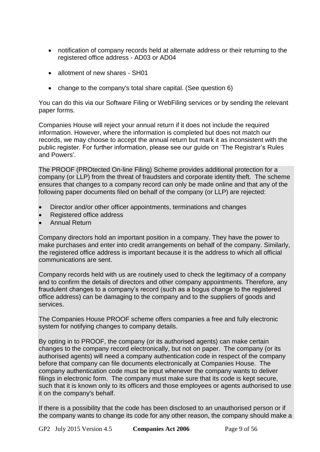- notification of company records held at alternate address or their returning to the registered office address - [AD03](http://www.companieshouse.gov.uk/forms/introduction.shtml) or [AD04](http://www.companieshouse.gov.uk/forms/introduction.shtml)
- allotment of new shares [SH01](http://www.companieshouse.gov.uk/forms/introduction.shtml)
- change to the company's total share capital. (See [question 6\)](#page-9-0)

You can do this via our Software Filing or WebFiling services or by sending the relevant paper forms.

Companies House will reject your annual return if it does not include the required information. However, where the information is completed but does not match our records, we may choose to accept the annual return but mark it as inconsistent with the public register. For further information, please see our guide on ['The Registrar's](http://www.companieshouse.gov.uk/about/gbhtml/gp6.shtml) Rules [and Powers'](http://www.companieshouse.gov.uk/about/gbhtml/gp6.shtml).

The PROOF (PROtected On-line Filing) Scheme provides additional protection for a company (or LLP) from the threat of fraudsters and corporate identity theft. The scheme ensures that changes to a company record can only be made online and that any of the following paper documents filed on behalf of the company (or LLP) are rejected:

- Director and/or other officer appointments, terminations and changes
- Registered office address
- Annual Return

Company directors hold an important position in a company. They have the power to make purchases and enter into credit arrangements on behalf of the company. Similarly, the registered office address is important because it is the address to which all official communications are sent.

Company records held with us are routinely used to check the legitimacy of a company and to confirm the details of directors and other company appointments. Therefore, any fraudulent changes to a company's record (such as a bogus change to the registered office address) can be damaging to the company and to the suppliers of goods and services.

The Companies House PROOF scheme offers companies a free and fully electronic system for notifying changes to company details.

By opting in to PROOF, the company (or its authorised agents) can make certain changes to the company record electronically, but not on paper. The company (or its authorised agents) will need a company authentication code in respect of the company before that company can file documents electronically at Companies House. The company authentication code must be input whenever the company wants to deliver filings in electronic form. The company must make sure that its code is kept secure, such that it is known only to its officers and those employees or agents authorised to use it on the company's behalf.

If there is a possibility that the code has been disclosed to an unauthorised person or if the company wants to change its code for any other reason, the company should make a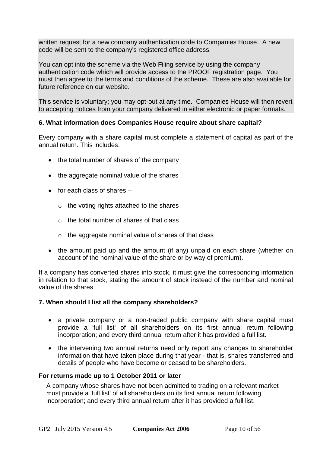written request for a new company authentication code to Companies House. A new code will be sent to the company's registered office address.

You can opt into the scheme via the Web Filing service by using the company authentication code which will provide access to the PROOF registration page. You must then agree to the terms and conditions of the scheme. These are also available for future reference on our website.

This service is voluntary; you may opt-out at any time. Companies House will then revert to accepting notices from your company delivered in either electronic or paper formats.

## <span id="page-9-0"></span>**6. What information does Companies House require about share capital?**

Every company with a share capital must complete a statement of capital as part of the annual return. This includes:

- the total number of shares of the company
- the aggregate nominal value of the shares
- $\bullet$  for each class of shares  $$ 
	- o the voting rights attached to the shares
	- o the total number of shares of that class
	- o the aggregate nominal value of shares of that class
- the amount paid up and the amount (if any) unpaid on each share (whether on account of the nominal value of the share or by way of premium).

If a company has converted shares into stock, it must give the corresponding information in relation to that stock, stating the amount of stock instead of the number and nominal value of the shares.

#### **7. When should I list all the company shareholders?**

- a private company or a [non-traded public company](#page-5-1) with share capital must provide a 'full list' of all shareholders on its first annual return following incorporation; and every third annual return after it has provided a full list.
- the intervening two annual returns need only report any changes to shareholder information that have taken place during that year - that is, shares transferred and details of people who have become or ceased to be shareholders.

#### **For returns made up to 1 October 2011 or later**

A company whose shares have not been admitted to trading on a relevant market must provide a 'full list' of all shareholders on its first annual return following incorporation; and every third annual return after it has provided a full list.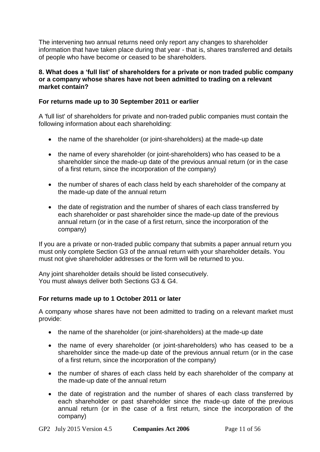The intervening two annual returns need only report any changes to shareholder information that have taken place during that year - that is, shares transferred and details of people who have become or ceased to be shareholders.

#### **8. What does a 'full list' of shareholders for a private or non traded public company or a company whose shares have not been admitted to trading on a relevant market contain?**

## **For returns made up to 30 September 2011 or earlier**

A 'full list' of shareholders for private and non-traded [public companies](#page-5-1) must contain the following information about each shareholding:

- the name of the shareholder (or joint-shareholders) at the made-up date
- the name of every shareholder (or joint-shareholders) who has ceased to be a shareholder since the made-up date of the previous annual return (or in the case of a first return, since the incorporation of the company)
- the number of shares of each class held by each shareholder of the company at the made-up date of the annual return
- the date of registration and the number of shares of each class transferred by each shareholder or past shareholder since the made-up date of the previous annual return (or in the case of a first return, since the incorporation of the company)

If you are a private or non-traded public company that submits a paper annual return you must only complete Section G3 of the annual return with your shareholder details. You must not give shareholder addresses or the form will be returned to you.

Any joint shareholder details should be listed consecutively. You must always deliver both Sections G3 & G4.

## **For returns made up to 1 October 2011 or later**

A company whose shares have not been admitted to trading on a relevant market must provide:

- the name of the shareholder (or joint-shareholders) at the made-up date
- the name of every shareholder (or joint-shareholders) who has ceased to be a shareholder since the made-up date of the previous annual return (or in the case of a first return, since the incorporation of the company)
- the number of shares of each class held by each shareholder of the company at the made-up date of the annual return
- the date of registration and the number of shares of each class transferred by each shareholder or past shareholder since the made-up date of the previous annual return (or in the case of a first return, since the incorporation of the company)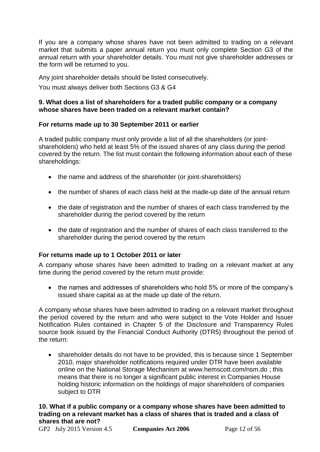If you are a company whose shares have not been admitted to trading on a relevant market that submits a paper annual return you must only complete Section G3 of the annual return with your shareholder details. You must not give shareholder addresses or the form will be returned to you.

Any joint shareholder details should be listed consecutively.

You must always deliver both Sections G3 & G4

#### **9. What does a list of shareholders for a traded public company or a company whose shares have been traded on a relevant market contain?**

## **For returns made up to 30 September 2011 or earlier**

A [traded public company](#page-5-2) must only provide a list of all the shareholders (or jointshareholders) who held at least 5% of the issued shares of any class during the period covered by the return. The list must contain the following information about each of these shareholdings:

- the name and address of the shareholder (or joint-shareholders)
- the number of shares of each class held at the made-up date of the annual return
- the date of registration and the number of shares of each class transferred by the shareholder during the period covered by the return
- the date of registration and the number of shares of each class transferred to the shareholder during the period covered by the return

## **For returns made up to 1 October 2011 or later**

A company whose shares have been admitted to trading on a relevant market at any time during the period covered by the return must provide:

 the names and addresses of shareholders who hold 5% or more of the company's issued share capital as at the made up date of the return.

A company whose shares have been admitted to trading on a relevant market throughout the period covered by the return and who were subject to the Vote Holder and Issuer Notification Rules contained in Chapter 5 of the Disclosure and Transparency Rules source book issued by the Financial Conduct Authority (DTR5) throughout the period of the return:

 shareholder details do not have to be provided, this is because since 1 September 2010, major shareholder notifications required under DTR have been available online on the National Storage Mechanism at [www.hemscott.com/nsm.do](http://www.hemscott.com/nsm.do) ; this means that there is no longer a significant public interest in Companies House holding historic information on the holdings of major shareholders of companies subject to DTR

**10. What if a public company or a company whose shares have been admitted to trading on a relevant market has a class of shares that is traded and a class of shares that are not?**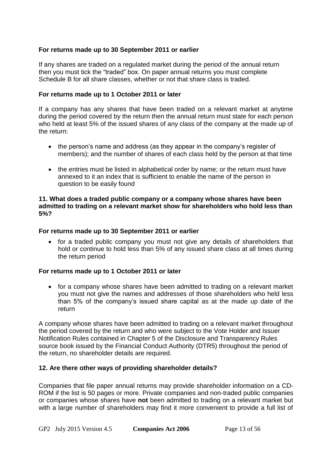## **For returns made up to 30 September 2011 or earlier**

If any shares are traded on a regulated market during the period of the annual return then you must tick the "traded" box. On paper annual returns you must complete Schedule B for all share classes, whether or not that share class is traded.

#### **For returns made up to 1 October 2011 or later**

If a company has any shares that have been traded on a relevant market at anytime during the period covered by the return then the annual return must state for each person who held at least 5% of the issued shares of any class of the company at the made up of the return:

- the person's name and address (as they appear in the company's register of members); and the number of shares of each class held by the person at that time
- the entries must be listed in alphabetical order by name; or the return must have annexed to it an index that is sufficient to enable the name of the person in question to be easily found

#### **11. What does a traded public company or a company whose shares have been admitted to trading on a relevant market show for shareholders who hold less than 5%?**

#### **For returns made up to 30 September 2011 or earlier**

 for a traded public company you must not give any details of shareholders that hold or continue to hold less than 5% of any issued share class at all times during the [return period](http://www.companieshouse.gov.uk/about/gbhtml/gp2.shtml#ch1#ch1)

#### **For returns made up to 1 October 2011 or later**

• for a company whose shares have been admitted to trading on a relevant market you must not give the names and addresses of those shareholders who held less than 5% of the company's issued share capital as at the made up date of the return

A company whose shares have been admitted to trading on a relevant market throughout the period covered by the return and who were subject to the Vote Holder and Issuer Notification Rules contained in [Chapter 5](#page-18-0) of the Disclosure and Transparency Rules source book issued by the Financial Conduct Authority (DTR5) throughout the period of the return, no shareholder details are required.

#### **12. Are there other ways of providing shareholder details?**

Companies that file paper annual returns may provide shareholder information on a CD-ROM if the list is 50 pages or more. Private companies and non-traded public companies or companies whose shares have **not** been admitted to trading on a relevant market but with a large number of shareholders may find it more convenient to provide a full list of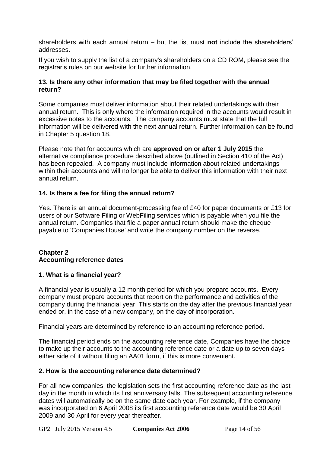shareholders with each annual return – but the list must **not** include the shareholders' addresses.

If you wish to supply the list of a company's shareholders on a CD ROM, please see the [registrar's rules](http://www.companieshouse.gov.uk/about/policyDocuments/registrarsRules/infoRegistrarsRules.shtml) on our website for further information.

## **13. Is there any other information that may be filed together with the annual return?**

Some companies must deliver information about their related undertakings with their annual return. This is only where the information required in the accounts would result in excessive notes to the accounts. The company accounts must state that the full information will be delivered with the next annual return. Further information can be found in [Chapter 5 question 18.](#page-23-0)

Please note that for accounts which are **approved on or after 1 July 2015** the alternative compliance procedure described above (outlined in Section 410 of the Act) has been repealed. A company must include information about related undertakings within their accounts and will no longer be able to deliver this information with their next annual return.

## **14. Is there a fee for filing the annual return?**

Yes. There is an annual document-processing fee of £40 for paper documents or £13 for users of our Software Filing or WebFiling services which is payable when you file the annual return. Companies that file a paper annual return should make the cheque payable to 'Companies House' and write the company number on the reverse.

## <span id="page-13-0"></span>**Chapter 2 Accounting reference dates**

## **1. What is a financial year?**

A financial year is usually a 12 [month](http://en.wikipedia.org/wiki/Month) period for which you prepare accounts. Every company must prepare accounts that report on the performance and activities of the company during the financial year. This starts on the day after the previous financial year ended or, in the case of a new company, on the day of incorporation.

Financial years are determined by reference to an accounting reference period.

The financial period ends on the accounting reference date, Companies have the choice to make up their accounts to the accounting reference date or a date up to seven days either side of it without filing an AA01 form, if this is more convenient.

## **2. How is the accounting reference date determined?**

For all new companies, the legislation sets the first accounting reference date as the last day in the month in which its first anniversary falls. The subsequent accounting reference dates will automatically be on the same date each year. For example, if the company was incorporated on 6 April 2008 its first accounting reference date would be 30 April 2009 and 30 April for every year thereafter.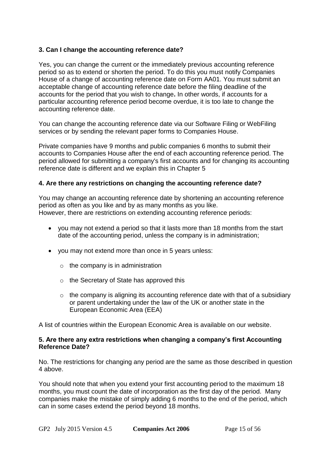## **3. Can I change the accounting reference date?**

Yes, you can change the current or the immediately previous accounting reference period so as to extend or shorten the period. To do this you must notify Companies House of a [change of accounting reference date](http://www.companieshouse.gov.uk/forms/generalForms/AA01_change_of_accounting_reference_date.pdf) on Form AA01. You must submit an acceptable change of accounting reference date before the filing deadline of the accounts for the period that you wish to change**.** In other words, if accounts for a particular accounting reference period become overdue, it is too late to change the accounting reference date.

You can change the accounting reference date via our Software Filing or WebFiling services or by sending the relevant paper forms to Companies House.

Private companies have 9 months and public companies 6 months to submit their accounts to Companies House after the end of each accounting reference period. The period allowed for submitting a company's first accounts and for changing its accounting reference date is different and we explain this in [Chapter 5](#page-18-0)

#### <span id="page-14-0"></span>**4. Are there any restrictions on changing the accounting reference date?**

You may change an accounting reference date by shortening an accounting reference period as often as you like and by as many months as you like. However, there are restrictions on extending accounting reference periods:

- you may not extend a period so that it lasts more than 18 months from the start date of the accounting period, unless the company is in administration;
- vou may not extend more than once in 5 years unless:
	- $\circ$  the company is in administration
	- o the Secretary of State has approved this
	- $\circ$  the company is aligning its accounting reference date with that of a subsidiary or parent undertaking under the law of the UK or another state in the [European Economic Area \(EEA\)](http://www.companieshouse.gov.uk/about/miscellaneous/listeeaCountries.shtml)

[A list of countries within the European Economic Area is available on our website.](http://www.companieshouse.gov.uk/about/miscellaneous/listeeaCountries.shtml)

#### **5. Are there any extra restrictions when changing a company's first Accounting Reference Date?**

No. The restrictions for changing any period are the same as those described in [question](#page-14-0)  [4](#page-14-0) above.

You should note that when you extend your first accounting period to the maximum 18 months, you must count the date of incorporation as the first day of the period. Many companies make the mistake of simply adding 6 months to the end of the period, which can in some cases extend the period beyond 18 months.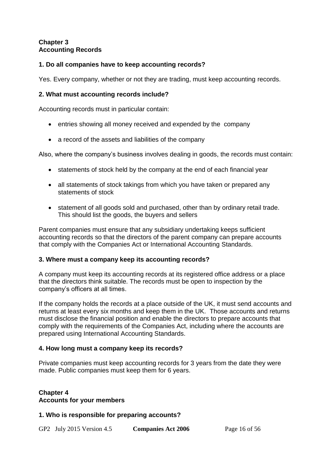## <span id="page-15-0"></span>**Chapter 3 Accounting Records**

## **1. Do all companies have to keep accounting records?**

Yes. Every company, whether or not they are trading, must keep accounting records.

## **2. What must accounting records include?**

Accounting records must in particular contain:

- entries showing all money received and expended by the company
- a record of the assets and liabilities of the company

Also, where the company's business involves dealing in goods, the records must contain:

- statements of stock held by the company at the end of each financial year
- all statements of stock takings from which you have taken or prepared any statements of stock
- statement of all goods sold and purchased, other than by ordinary retail trade. This should list the goods, the buyers and sellers

Parent companies must ensure that any subsidiary undertaking keeps sufficient accounting records so that the directors of the parent company can prepare accounts that comply with the Companies Act or International Accounting Standards.

#### **3. Where must a company keep its accounting records?**

A company must keep its accounting records at its registered office address or a place that the directors think suitable. The records must be open to inspection by the company's officers at all times.

If the company holds the records at a place outside of the UK, it must send accounts and returns at least every six months and keep them in the UK. Those accounts and returns must disclose the financial position and enable the directors to prepare accounts that comply with the requirements of the Companies Act, including where the accounts are prepared using International Accounting Standards.

## **4. How long must a company keep its records?**

Private companies must keep accounting records for 3 years from the date they were made. Public companies must keep them for 6 years.

## <span id="page-15-1"></span>**Chapter 4 Accounts for your members**

#### **1. Who is responsible for preparing accounts?**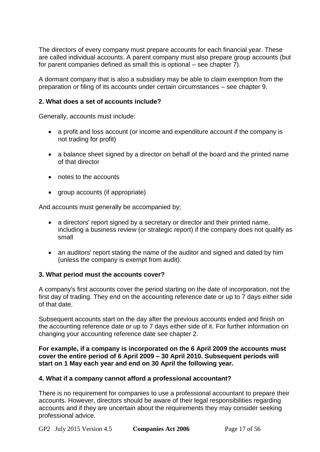The directors of every company must prepare accounts for each financial year. These are called individual accounts. A parent company must also prepare group accounts (but for parent companies defined as small this is optional – [see chapter 7\)](#page-26-0).

A dormant company that is also a subsidiary may be able to claim exemption from the preparation or filing of its accounts under certain circumstances – [see chapter 9.](#page-36-0)

## **2. What does a set of accounts include?**

Generally, accounts must include:

- a profit and loss account (or income and expenditure account if the company is not trading for profit)
- a balance sheet signed by a director on behalf of the board and the printed name of that director
- notes to the accounts
- aroup accounts (if appropriate)

And accounts must generally be accompanied by;

- a directors' report signed by a secretary or director and their printed name, including a business review (or strategic report) if the company does not qualify as small
- an auditors' report stating the name of the auditor and signed and dated by him (unless the company is exempt from audit).

#### **3. What period must the accounts cover?**

A company's first accounts cover the period starting on the date of incorporation, not the first day of trading. They end on the accounting reference date or up to 7 days either side of that date.

Subsequent accounts start on the day after the previous accounts ended and finish on the accounting reference date or up to 7 days either side of it. For further information on changing your accounting reference date see [chapter 2.](#page-13-0)

## **For example, if a company is incorporated on the 6 April 2009 the accounts must cover the entire period of 6 April 2009 – 30 April 2010. Subsequent periods will start on 1 May each year and end on 30 April the following year.**

#### **4. What if a company cannot afford a professional accountant?**

There is no requirement for companies to use a professional accountant to prepare their accounts. However, directors should be aware of their legal responsibilities regarding accounts and if they are uncertain about the requirements they may consider seeking professional advice.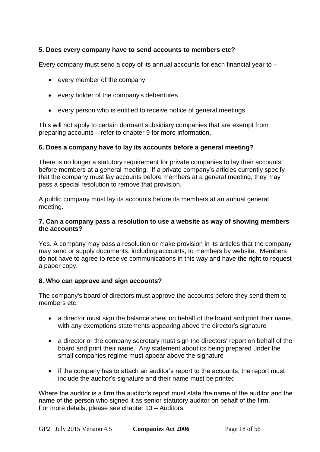## **5. Does every company have to send accounts to members etc?**

Every company must send a copy of its annual accounts for each financial year to –

- every member of the company
- every holder of the company's debentures
- every person who is entitled to receive notice of general meetings

This will not apply to certain dormant subsidiary companies that are exempt from preparing accounts – refer to chapter 9 [for more information.](#page-36-0)

#### **6. Does a company have to lay its accounts before a general meeting?**

There is no longer a statutory requirement for private companies to lay their accounts before members at a general meeting. If a private company's articles currently specify that the company must lay accounts before members at a general meeting, they may pass a special resolution to remove that provision.

A public company must lay its accounts before its members at an annual general meeting.

#### **7. Can a company pass a resolution to use a website as way of showing members the accounts?**

Yes. A company may pass a resolution or make provision in its articles that the company may send or supply documents, including accounts, to members by website. Members do not have to agree to receive communications in this way and have the right to request a paper copy.

#### **8. Who can approve and sign accounts?**

The company's board of directors must approve the accounts before they send them to members etc.

- a director must sign the balance sheet on behalf of the board and print their name, with any exemptions statements appearing above the director's signature
- a director or the company secretary must sign the directors' report on behalf of the board and print their name. Any statement about its being prepared under the small companies regime must appear above the signature
- if the company has to attach an auditor's report to the accounts, the report must include the auditor's signature and their name must be printed

Where the auditor is a firm the auditor's report must state the name of the auditor and the name of the person who signed it as senior statutory auditor on behalf of the firm. For more details, please see [chapter 13](#page-45-0) – Auditors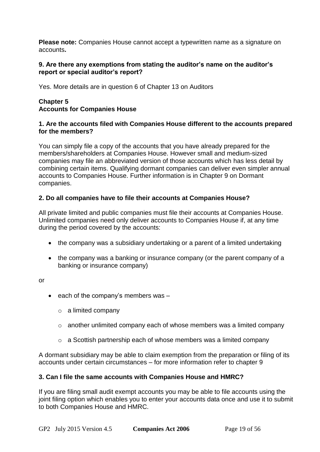**Please note:** Companies House cannot accept a typewritten name as a signature on accounts**.**

#### **9. Are there any exemptions from stating the auditor's name on the auditor's report or special auditor's report?**

Yes. More details are in [question 6 of Chapter 13](#page-49-0) on Auditors

## <span id="page-18-0"></span>**Chapter 5 Accounts for Companies House**

#### **1. Are the accounts filed with Companies House different to the accounts prepared for the members?**

You can simply file a copy of the accounts that you have already prepared for the members/shareholders at Companies House. However small and medium-sized companies may file an abbreviated version of those accounts which has less detail by combining certain items. Qualifying dormant companies can deliver even simpler annual accounts to Companies House. [Further information is in](#page-36-0) Chapter 9 on Dormant [companies.](#page-36-0)

## <span id="page-18-1"></span>**2. Do all companies have to file their accounts at Companies House?**

All private limited and public companies must file their accounts at Companies House. Unlimited companies need only deliver accounts to Companies House if, at any time during the period covered by the accounts:

- the company was a subsidiary undertaking or a parent of a limited undertaking
- the company was a banking or insurance company (or the parent company of a banking or insurance company)

or

- $\bullet$  each of the company's members was  $-$ 
	- $\circ$  a limited company
	- o another unlimited company each of whose members was a limited company
	- o a Scottish partnership each of whose members was a limited company

A dormant subsidiary may be able to claim exemption from the preparation or filing of its accounts under certain circumstances – for more information [refer to chapter 9](#page-36-0)

#### **3. Can I file the same accounts with Companies House and HMRC?**

If you are filing small audit exempt accounts you may be able to file accounts using the joint filing option which enables you to enter your accounts data once and use it to submit to both Companies House and HMRC.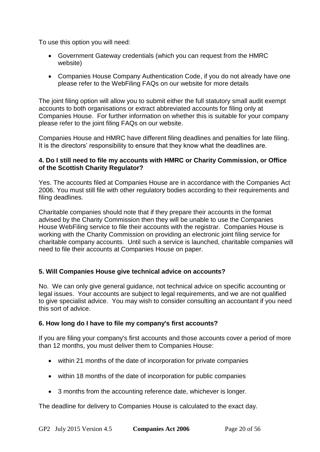To use this option you will need:

- Government Gateway credentials (which you can request from the HMRC website)
- Companies House Company Authentication Code, if you do not already have one please refer to the [WebFiling FAQs](http://www.companieshouse.gov.uk/webfiling/webFilingFAQs.shtml) on our website for more details

The joint filing option will allow you to submit either the full statutory small audit exempt accounts to both organisations or extract abbreviated accounts for filing only at Companies House. For further information on whether this is suitable for your company please refer to the [joint filing FAQs on our website.](http://www.companieshouse.gov.uk/infoAndGuide/faq/accountsAndReports.shtml)

Companies House and HMRC have different filing deadlines and penalties for late filing. It is the directors' responsibility to ensure that they know what the deadlines are.

#### **4. Do I still need to file my accounts with HMRC or Charity Commission, or Office of the Scottish Charity Regulator?**

Yes. The accounts filed at Companies House are in accordance with the Companies Act 2006. You must still file with other regulatory bodies according to their requirements and filing deadlines.

Charitable companies should note that if they prepare their accounts in the format advised by the Charity Commission then they will be unable to use the Companies House WebFiling service to file their accounts with the registrar. Companies House is working with the Charity Commission on providing an electronic joint filing service for charitable company accounts. Until such a service is launched, charitable companies will need to file their accounts at Companies House on paper.

## **5. Will Companies House give technical advice on accounts?**

No. We can only give general guidance, not technical advice on specific accounting or legal issues. Your accounts are subject to legal requirements, and we are not qualified to give specialist advice. You may wish to consider consulting an accountant if you need this sort of advice.

## **6. How long do I have to file my company's first accounts?**

If you are filing your company's first accounts and those accounts cover a period of more than 12 months, you must deliver them to Companies House:

- within 21 months of the date of incorporation for private companies
- within 18 months of the date of incorporation for public companies
- 3 months from the accounting reference date, whichever is longer.

The deadline for delivery to Companies House is calculated to the exact day.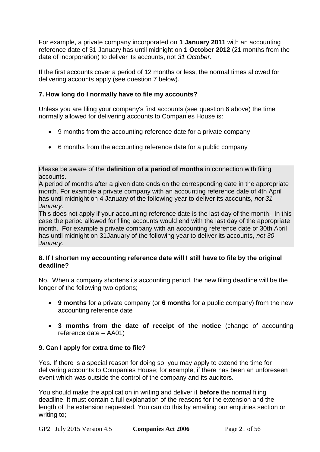For example, a private company incorporated on **1 January 2011** with an accounting reference date of 31 January has until midnight on **1 October 2012** (21 months from the date of incorporation) to deliver its accounts, not *31 October*.

If the first accounts cover a period of 12 months or less, the normal times allowed for delivering accounts apply (see question 7 below).

## **7. How long do I normally have to file my accounts?**

Unless you are filing your company's first accounts (see question 6 above) the time normally allowed for delivering accounts to Companies House is:

- 9 months from the accounting reference date for a private company
- 6 months from the accounting reference date for a public company

Please be aware of the **definition of a period of months** in connection with filing accounts.

A period of months after a given date ends on the corresponding date in the appropriate month. For example a private company with an accounting reference date of 4th April has until midnight on 4 January of the following year to deliver its accounts, *not 31 January*.

This does not apply if your accounting reference date is the last day of the month. In this case the period allowed for filing accounts would end with the last day of the appropriate month. For example a private company with an accounting reference date of 30th April has until midnight on 31January of the following year to deliver its accounts, *not 30 January*.

## **8. If I shorten my accounting reference date will I still have to file by the original deadline?**

No. When a company shortens its accounting period, the new filing deadline will be the longer of the following two options;

- **9 months** for a private company (or **6 months** for a public company) from the new accounting reference date
- **3 months from the date of receipt of the notice** (change of accounting reference date – AA01)

## **9. Can I apply for extra time to file?**

Yes. If there is a special reason for doing so, you may apply to extend the time for delivering accounts to Companies House; for example, if there has been an unforeseen event which was outside the control of the company and its auditors.

You should make the application in writing and deliver it **before** the normal filing deadline. It must contain a full explanation of the reasons for the extension and the length of the extension requested. You can do this by [emailing our enquiries section](mailto:enquiries@companieshouse.gov.uk) or writing to;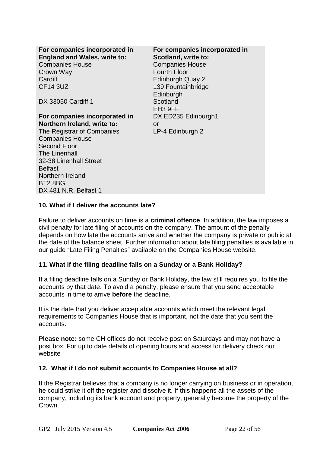| For companies incorporated in<br><b>England and Wales, write to:</b><br><b>Companies House</b><br>Crown Way<br>Cardiff<br><b>CF14 3UZ</b> | For companies incorporated in<br>Scotland, write to:<br><b>Companies House</b><br><b>Fourth Floor</b><br><b>Edinburgh Quay 2</b><br>139 Fountainbridge<br>Edinburgh |
|-------------------------------------------------------------------------------------------------------------------------------------------|---------------------------------------------------------------------------------------------------------------------------------------------------------------------|
| DX 33050 Cardiff 1                                                                                                                        | Scotland<br>EH <sub>3</sub> 9FF                                                                                                                                     |
| For companies incorporated in                                                                                                             | DX ED235 Edinburgh1                                                                                                                                                 |
| Northern Ireland, write to:                                                                                                               | or                                                                                                                                                                  |
| The Registrar of Companies                                                                                                                | LP-4 Edinburgh 2                                                                                                                                                    |
| <b>Companies House</b>                                                                                                                    |                                                                                                                                                                     |
| Second Floor,                                                                                                                             |                                                                                                                                                                     |
| <b>The Linenhall</b>                                                                                                                      |                                                                                                                                                                     |
| 32-38 Linenhall Street                                                                                                                    |                                                                                                                                                                     |
| <b>Belfast</b>                                                                                                                            |                                                                                                                                                                     |
| Northern Ireland<br><b>BT2 8BG</b>                                                                                                        |                                                                                                                                                                     |
| DX 481 N.R. Belfast 1                                                                                                                     |                                                                                                                                                                     |
|                                                                                                                                           |                                                                                                                                                                     |

#### **10. What if I deliver the accounts late?**

Failure to deliver accounts on time is a **criminal offence**. In addition, the law imposes a civil [penalty for late filing](../../../rkyv/Local%20Settings/Temp/Local%20Settings/Temp/Local%20Settings/Temp/Local%20Settings/Temp/Local%20Settings/Temp/rkyv/Local%20Settings/Temp/Local%20Settings/Temp/Local%20Settings/Temp/Open/gba5.shtml#c1q1) of accounts on the company. The amount of the penalty depends on how late the accounts arrive and whether the company is private or public at the date of the balance sheet. Further information about late filing penalties is available in our guide ["Late Filing Penalties"](http://www.companieshouse.gov.uk/about/gbhtml/gp5.shtml) available on the Companies House website.

#### **11. What if the filing deadline falls on a Sunday or a Bank Holiday?**

If a filing deadline falls on a Sunday or Bank Holiday, the law still requires you to file the accounts by that date. To avoid a penalty, please ensure that you send acceptable accounts in time to arrive **before** the deadline.

It is the date that you deliver acceptable accounts which meet the relevant legal requirements to Companies House that is important, not the date that you sent the accounts.

**Please note:** some CH offices do not receive post on Saturdays and may not have a post box. For up to date details of opening hours and access for delivery [check our](http://www.companieshouse.gov.uk/contact/index.shtml)  [website](http://www.companieshouse.gov.uk/contact/index.shtml)

#### **12. What if I do not submit accounts to Companies House at all?**

If the Registrar believes that a company is no longer carrying on business or in operation, he could strike it off the register and dissolve it. If this happens all the assets of the company, including its bank account and property, generally become the property of the Crown.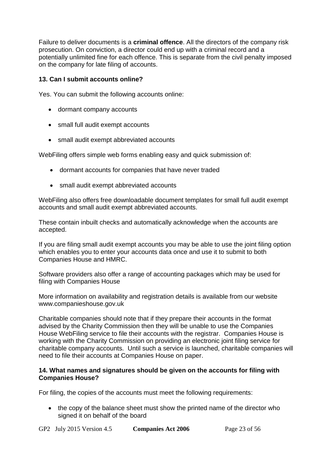Failure to deliver documents is a **criminal offence**. All the directors of the company risk prosecution. On conviction, a director could end up with a criminal record and a potentially unlimited fine for each offence. This is separate from the [civil penalty im](http://www.companieshouse.gov.uk/about/gbhtml/gp5.shtml)posed on the company for late filing of accounts.

## **13. Can I submit accounts online?**

Yes. You can submit the following accounts online:

- dormant company accounts
- small full audit exempt accounts
- small audit exempt abbreviated accounts

WebFiling offers simple web forms enabling easy and quick submission of:

- dormant accounts for companies that have never traded
- small audit exempt abbreviated accounts

WebFiling also offers free downloadable document templates for small full audit exempt accounts and small audit exempt abbreviated accounts.

These contain inbuilt checks and automatically acknowledge when the accounts are accepted.

If you are filing small audit exempt accounts you may be able to use the joint filing option which enables you to enter your accounts data once and use it to submit to both Companies House and HMRC.

Software providers also offer a range of accounting packages which may be used for filing with Companies House

More information on [availability and registration](http://www.companieshouse.gov.uk/infoAndGuide/faq/webFiling.shtml) details is available from our website www.companieshouse.gov.uk

Charitable companies should note that if they prepare their accounts in the format advised by the Charity Commission then they will be unable to use the Companies House WebFiling service to file their accounts with the registrar. Companies House is working with the Charity Commission on providing an electronic joint filing service for charitable company accounts. Until such a service is launched, charitable companies will need to file their accounts at Companies House on paper.

#### **14. What names and signatures should be given on the accounts for filing with Companies House?**

For filing, the copies of the accounts must meet the following requirements:

• the copy of the balance sheet must show the printed name of the director who signed it on behalf of the board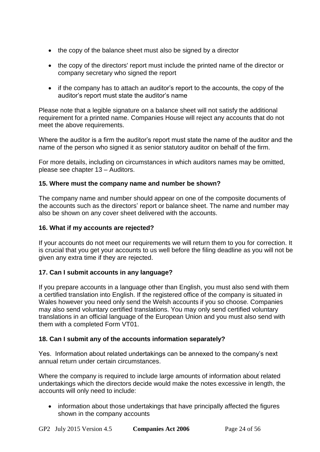- the copy of the balance sheet must also be signed by a director
- the copy of the directors' report must include the printed name of the director or company secretary who signed the report
- if the company has to attach an auditor's report to the accounts, the copy of the auditor's report must state the auditor's name

Please note that a legible signature on a balance sheet will not satisfy the additional requirement for a printed name. Companies House will reject any accounts that do not meet the above requirements.

Where the auditor is a firm the auditor's report must state the name of the auditor and the name of the person who signed it as senior statutory auditor on behalf of the firm.

For more details, including on circumstances in which auditors names may be omitted, please see [chapter 13](#page-47-0) – Auditors.

## **15. Where must the company name and number be shown?**

The company name and number should appear on one of the composite documents of the accounts such as the directors' report or balance sheet. The name and number may also be shown on any cover sheet delivered with the accounts.

#### **16. What if my accounts are rejected?**

If your accounts do not meet our requirements we will return them to you for correction. It is crucial that you get your accounts to us well before the filing deadline as you will not be given any extra time if they are rejected.

## **17. Can I submit accounts in any language?**

If you prepare accounts in a language other than English, you must also send with them a certified translation into English. If the registered office of the company is situated in Wales however you need only send the Welsh accounts if you so choose. Companies may also send voluntary certified translations. You may only send certified voluntary translations in an official language of the European Union and you must also send with them with a completed [Form VT01.](http://www.companieshouse.gov.uk/forms/generalForms/VT01_certified_voluntary_translation_of_an_original_document_that_is_or_been_delivered_to_registrar.pdf)

#### <span id="page-23-0"></span>**18. Can I submit any of the accounts information separately?**

Yes. Information about related undertakings can be annexed to the company's next annual return under certain circumstances.

Where the company is required to include large amounts of information about related undertakings which the directors decide would make the notes excessive in length, the accounts will only need to include:

• information about those undertakings that have principally affected the figures shown in the company accounts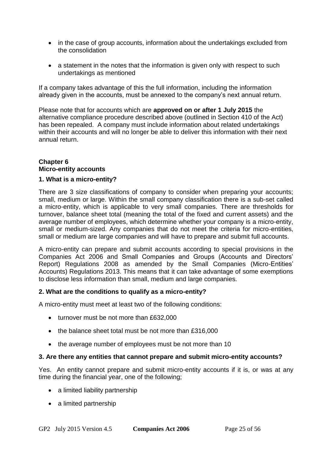- in the case of group accounts, information about the undertakings excluded from the consolidation
- a statement in the notes that the information is given only with respect to such undertakings as mentioned

If a company takes advantage of this the full information, including the information already given in the accounts, must be annexed to the company's next annual return.

Please note that for accounts which are **approved on or after 1 July 2015** the alternative compliance procedure described above (outlined in Section 410 of the Act) has been repealed. A company must include information about related undertakings within their accounts and will no longer be able to deliver this information with their next annual return.

## <span id="page-24-0"></span>**Chapter 6 Micro-entity accounts**

## **1. What is a micro-entity?**

There are 3 size classifications of company to consider when preparing your accounts; small, medium or large. Within the small company classification there is a sub-set called a micro-entity, which is applicable to very small companies. There are thresholds for turnover, balance sheet total (meaning the total of the fixed and current assets) and the average number of employees, which determine whether your company is a micro-entity, small or medium-sized. Any companies that do not meet the criteria for micro-entities, small or medium are large companies and will have to prepare and submit full accounts.

A micro-entity can prepare and submit accounts according to special provisions in the Companies Act 2006 and Small Companies and Groups (Accounts and Directors' Report) Regulations 2008 as amended by the Small Companies (Micro-Entities' Accounts) Regulations 2013. This means that it can take advantage of some exemptions to disclose less information than small, medium and large companies.

#### **2. What are the conditions to qualify as a micro-entity?**

A micro-entity must meet at least two of the following conditions:

- turnover must be not more than £632,000
- the balance sheet total must be not more than £316,000
- the average number of employees must be not more than 10

#### **3. Are there any entities that cannot prepare and submit micro-entity accounts?**

Yes. An entity cannot prepare and submit micro-entity accounts if it is, or was at any time during the financial year, one of the following;

- a limited liability partnership
- a limited partnership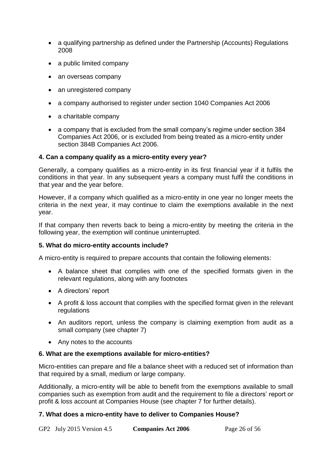- a qualifying partnership as defined under the Partnership (Accounts) Regulations 2008
- a public limited company
- an overseas company
- an unregistered company
- a company authorised to register under section 1040 Companies Act 2006
- a charitable company
- a company that is excluded from the small company's regime under section 384 Companies Act 2006, or is excluded from being treated as a micro-entity under section 384B Companies Act 2006.

## **4. Can a company qualify as a micro-entity every year?**

Generally, a company qualifies as a micro-entity in its first financial year if it fulfils the conditions in that year. In any subsequent years a company must fulfil the conditions in that year and the year before.

However, if a company which qualified as a micro-entity in one year no longer meets the criteria in the next year, it may continue to claim the exemptions available in the next year.

If that company then reverts back to being a micro-entity by meeting the criteria in the following year, the exemption will continue uninterrupted.

## **5. What do micro-entity accounts include?**

A micro-entity is required to prepare accounts that contain the following elements:

- A balance sheet that complies with one of the specified formats given in the relevant regulations, along with any footnotes
- A directors' report
- A profit & loss account that complies with the specified format given in the relevant regulations
- An auditors report, unless the company is claiming exemption from audit as a small company [\(see chapter 7\)](#page-26-0)
- Any notes to the accounts

## **6. What are the exemptions available for micro-entities?**

Micro-entities can prepare and file a balance sheet with a reduced set of information than that required by a small, medium or large company.

Additionally, a micro-entity will be able to benefit from the exemptions available to small companies such as exemption from audit and the requirement to file a directors' report or profit & loss account at Companies House [\(see chapter 7](#page-26-0) for further details).

## **7. What does a micro-entity have to deliver to Companies House?**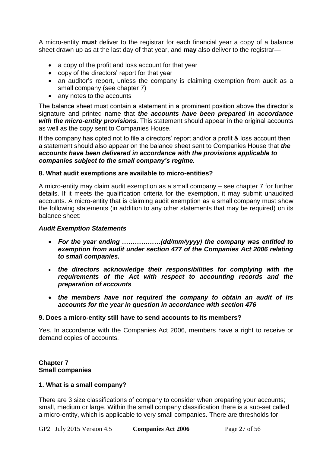A micro-entity **must** deliver to the registrar for each financial year a copy of a balance sheet drawn up as at the last day of that year, and **may** also deliver to the registrar—

- a copy of the profit and loss account for that year
- copy of the directors' report for that year
- an auditor's report, unless the company is claiming exemption from audit as a small company [\(see chapter 7\)](#page-26-0)
- any notes to the accounts

The balance sheet must contain a statement in a prominent position above the director's signature and printed name that *the accounts have been prepared in accordance with the micro-entity provisions.* This statement should appear in the original accounts as well as the copy sent to Companies House.

If the company has opted not to file a directors' report and/or a profit & loss account then a statement should also appear on the balance sheet sent to Companies House that *the accounts have been delivered in accordance with the provisions applicable to companies subject to the small company's regime.*

#### **8. What audit exemptions are available to micro-entities?**

A micro-entity may claim audit exemption as a small company – see [chapter 7](#page-26-0) for further details. If it meets the qualification criteria for the exemption, it may submit unaudited accounts. A micro-entity that is claiming audit exemption as a small company must show the following statements (in addition to any other statements that may be required) on its balance sheet:

#### *Audit Exemption Statements*

- *For the year ending ………………(dd/mm/yyyy) the company was entitled to exemption from audit under section 477 of the Companies Act 2006 relating to small companies.*
- *the directors acknowledge their responsibilities for complying with the requirements of the Act with respect to accounting records and the preparation of accounts*
- *the members have not required the company to obtain an audit of its accounts for the year in question in accordance with section 476*

#### **9. Does a micro-entity still have to send accounts to its members?**

Yes. In accordance with the Companies Act 2006, members have a right to receive or demand copies of accounts.

#### <span id="page-26-0"></span>**Chapter 7 Small companies**

#### **1. What is a small company?**

There are 3 size classifications of company to consider when preparing your accounts; small, medium or large. Within the small company classification there is a sub-set called a micro-entity, which is applicable to very small companies. There are thresholds for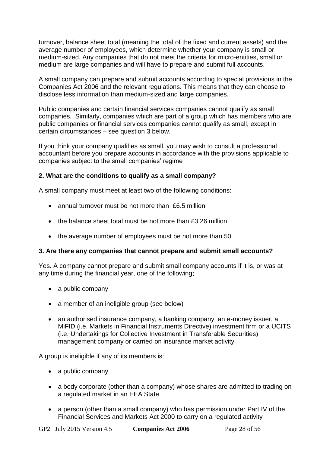turnover, balance sheet total (meaning the total of the fixed and current assets) and the average number of employees, which determine whether your company is small or medium-sized. Any companies that do not meet the criteria for micro-entities, small or medium are large companies and will have to prepare and submit full accounts.

A small company can prepare and submit accounts according to special provisions in the Companies Act 2006 and the relevant regulations. This means that they can choose to disclose less information than medium-sized and large companies.

Public companies and certain financial services companies cannot qualify as small companies. Similarly, companies which are part of a group which has members who are public companies or financial services companies cannot qualify as small, except in certain circumstances – see [question 3](#page-27-0) below.

If you think your company qualifies as small, you may wish to consult a professional accountant before you prepare accounts in accordance with the provisions applicable to companies subject to the small companies' regime

## <span id="page-27-1"></span>**2. What are the conditions to qualify as a small company?**

A small company must meet at least two of the following conditions:

- annual turnover must be not more than £6.5 million
- the balance sheet total must be not more than £3.26 million
- the average number of employees must be not more than 50

#### <span id="page-27-0"></span>**3. Are there any companies that cannot prepare and submit small accounts?**

Yes. A company cannot prepare and submit small company accounts if it is, or was at any time during the financial year, one of the following;

- a public company
- a member of an ineligible group (see below)
- an authorised insurance company, a banking company, an e-money issuer, a MiFID (i.e. Markets in Financial Instruments Directive) investment firm or a UCITS (i.e. Undertakings for Collective Investment in Transferable Securities**)**  management company or carried on insurance market activity

A group is ineligible if any of its members is:

- a public company
- a body corporate (other than a company) whose shares are admitted to trading on a regulated market in an EEA State
- a person (other than a small company) who has permission under [Part IV](http://www.legislation.gov.uk/ukpga/2000/8/part/IV) of the [Financial Services and Markets Act 2000](http://www.legislation.gov.uk/ukpga/2000/8/part/IV) to carry on a regulated activity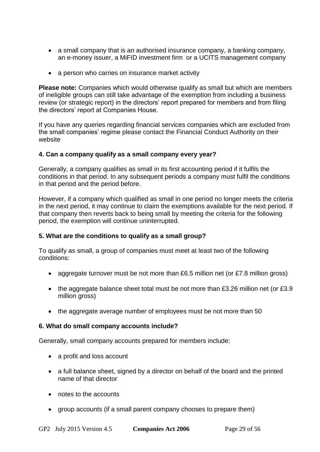- a small company that is an authorised insurance company, a banking company, an e-money issuer, a MiFID investment firm or a UCITS management company
- a person who carries on insurance market activity

**Please note:** Companies which would otherwise qualify as small but which are members of ineligible groups can still take advantage of the exemption from including a business review (or strategic report) in the directors' report prepared for members and from filing the directors' report at Companies House.

If you have any queries regarding financial services companies which are excluded from the small companies' regime [please contact the Financial Conduct](http://www.fca.org.uk/) Authority on their [website](http://www.fca.org.uk/)

## **4. Can a company qualify as a small company every year?**

Generally, a company qualifies as small in its first accounting period if it fulfils the conditions in that period. In any subsequent periods a company must fulfil the conditions in that period and the period before.

However, if a company which qualified as small in one period no longer meets the criteria in the next period, it may continue to claim the exemptions available for the next period. If that company then reverts back to being small by meeting the criteria for the following period, the exemption will continue uninterrupted.

#### <span id="page-28-0"></span>**5. What are the conditions to qualify as a small group?**

To qualify as small, a group of companies must meet at least two of the following conditions:

- aggregate turnover must be not more than £6.5 million net (or £7.8 million gross)
- the aggregate balance sheet total must be not more than £3.26 million net (or £3.9 million gross)
- the aggregate average number of employees must be not more than 50

#### **6. What do small company accounts include?**

Generally, small company accounts prepared for members include:

- a profit and loss account
- a full balance sheet, signed by a director on behalf of the board and the printed name of that director
- notes to the accounts
- group accounts (if a small parent company chooses to prepare them)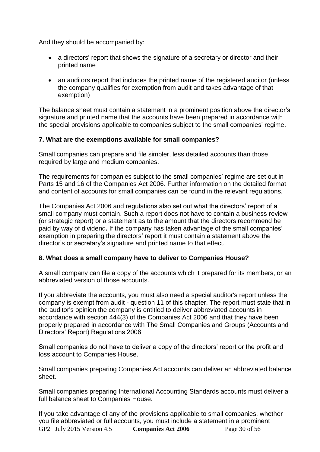And they should be accompanied by:

- a directors' report that shows the signature of a secretary or director and their printed name
- an auditors report that includes the printed name of the registered auditor (unless the company qualifies for exemption from audit and takes advantage of that exemption)

The balance sheet must contain a statement in a prominent position above the director's signature and printed name that the accounts have been prepared in accordance with the special provisions applicable to companies subject to the small companies' regime.

## **7. What are the exemptions available for small companies?**

Small companies can prepare and file simpler, less detailed accounts than those required by large and medium companies.

The requirements for companies subject to the small companies' regime are set out in [Parts 15](http://www.legislation.gov.uk/ukpga/2006/46/part/15) and [16 of the Companies Act 2006.](http://www.legislation.gov.uk/ukpga/2006/46/part/16) Further information on the detailed format and content of accounts for small companies can be found in the relevant regulations.

The Companies Act 2006 and regulations also set out what the directors' report of a small company must contain. Such a report does not have to contain a business review (or strategic report) or a statement as to the amount that the directors recommend be paid by way of dividend**.** If the company has taken advantage of the small companies' exemption in preparing the directors' report it must contain a statement above the director's or secretary's signature and printed name to that effect.

## **8. What does a small company have to deliver to Companies House?**

A small company can file a copy of the accounts which it prepared for its members, or an abbreviated version of those accounts.

If you abbreviate the accounts, you must also need a special auditor's report unless the company is exempt from audit - question 11 [of this chapter.](#page-49-1) The report must state that in the auditor's opinion the company is entitled to deliver abbreviated accounts in accordance with [section 444\(3\) of the Companies Act 2006](http://www.legislation.gov.uk/ukpga/2006/46/section/444) and that they have been properly prepared in accordance with [The Small Companies and Groups \(Accounts and](http://www.legislation.gov.uk/uksi/2008/409/contents/made)  [Directors' Report\) Regulations 2008](http://www.legislation.gov.uk/uksi/2008/409/contents/made)

Small companies do not have to deliver a copy of the directors' report or the profit and loss account to Companies House.

Small companies preparing Companies Act accounts can deliver an abbreviated balance sheet.

Small companies preparing International Accounting Standards accounts must deliver a full balance sheet to Companies House.

GP2 July 2015 Version 4.5 **Companies Act 2006** Page 30 of 56 If you take advantage of any of the provisions applicable to small companies, whether you file abbreviated or full accounts, you must include a statement in a prominent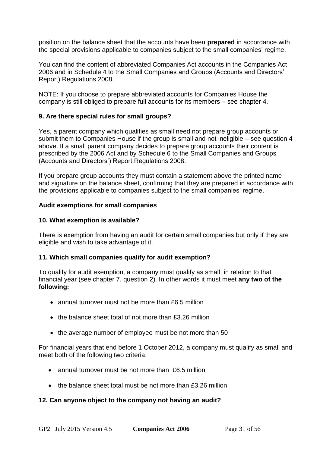position on the balance sheet that the accounts have been **prepared** in accordance with the special provisions applicable to companies subject to the small companies' regime.

You can find the content of abbreviated Companies Act accounts in the Companies Act 2006 and in [Schedule 4 to the Small Companies and Groups \(Accounts and Directors'](http://www.legislation.gov.uk/uksi/2008/409/schedule/4/made)  [Report\) Regulations 2008.](http://www.legislation.gov.uk/uksi/2008/409/schedule/4/made)

NOTE: If you choose to prepare abbreviated accounts for Companies House the company is still obliged to prepare full accounts for its members – [see chapter 4.](#page-15-1)

## **9. Are there special rules for small groups?**

Yes, a parent company which qualifies as small need not prepare group accounts or submit them to Companies House if the group is small and not ineligible – see [question 4](#page-28-0) above. If a small parent company decides to prepare group accounts their content is prescribed by the 2006 Act and by [Schedule 6 to the Small Companies and Groups](http://www.legislation.gov.uk/uksi/2008/409/schedule/6/made)  [\(Accounts and Directors'\) Report](http://www.legislation.gov.uk/uksi/2008/409/schedule/6/made) Regulations 2008.

If you prepare group accounts they must contain a statement above the printed name and signature on the balance sheet, confirming that they are prepared in accordance with the provisions applicable to companies subject to the small companies' regime.

#### **Audit exemptions for small companies**

#### **10. What exemption is available?**

There is exemption from having an audit for certain small companies but only if they are eligible and wish to take advantage of it.

#### <span id="page-30-0"></span>**11. Which small companies qualify for audit exemption?**

To qualify for audit exemption, a company must qualify as small, in relation to that financial year (see [chapter 7, question 2\)](#page-27-1). In other words it must meet **any two of the following:**

- annual turnover must not be more than £6.5 million
- the balance sheet total of not more than £3.26 million
- the average number of employee must be not more than 50

For financial years that end before 1 October 2012, a company must qualify as small and meet both of the following two criteria:

- annual turnover must be not more than £6.5 million
- the balance sheet total must be not more than £3.26 million

#### **12. Can anyone object to the company not having an audit?**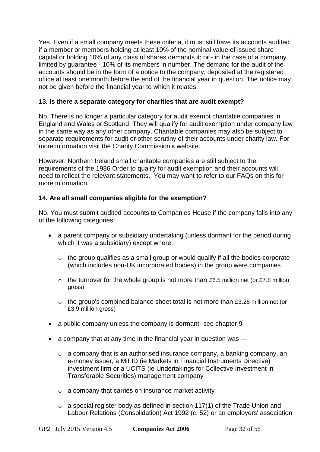Yes. Even if a small company meets these criteria, it must still have its accounts audited if a member or members holding at least 10% of the nominal value of issued share capital or holding 10% of any class of shares demands it; or - in the case of a company limited by guarantee - 10% of its members in number. The demand for the audit of the accounts should be in the form of a notice to the company, deposited at the registered office at least one month before the end of the financial year in question. The notice may not be given before the financial year to which it relates.

## **13. Is there a separate category for charities that are audit exempt?**

No. There is no longer a particular category for audit exempt charitable companies in England and Wales or Scotland. They will qualify for audit exemption under company law in the same way as any other company. Charitable companies may also be subject to separate requirements for audit or other scrutiny of their accounts under charity law. [For](http://www.charity-commission.gov.uk/publications/cc63.aspx)  [more information visit the](http://www.charity-commission.gov.uk/publications/cc63.aspx) Charity Commission's website.

However, Northern Ireland small charitable companies are still subject to the requirements of the 1986 Order to qualify for audit exemption and their accounts will need to reflect the relevant statements. You may want to [refer to our FAQs](http://www.companieshouse.gov.uk/infoAndGuide/faq/accountsAndReports.shtml#nicharityaccounts) on this for more information.

## <span id="page-31-0"></span>**14. Are all small companies eligible for the exemption?**

No. You must submit audited accounts to Companies House if the company falls into any of the following categories:

- a parent company or subsidiary undertaking (unless dormant for the period during which it was a subsidiary) except where:
	- o the group qualifies as a small group or would qualify if all the bodies corporate (which includes non-UK incorporated bodies) in the group were companies
	- $\circ$  the turnover for the whole group is not more than £6.5 million net (or £7.8 million gross)
	- o the group's combined balance sheet total is not more than £3.26 million net (or £3.9 million gross)
- a public company unless the company is dormant- see [chapter 9](#page-36-0)
- a company that at any time in the financial year in question was  $-$ 
	- $\circ$  a company that is an authorised insurance company, a banking company, an e-money issuer, a MiFID (ie Markets in Financial Instruments Directive) investment firm or a UCITS (ie Undertakings for Collective Investment in Transferable Securities) management company
	- o a company that carries on insurance market activity
	- $\circ$  a special register body as defined in section 117(1) of the Trade Union and [Labour Relations \(Consolidation\) Act 1992 \(c. 52\)](http://www.legislation.gov.uk/ukpga/1992/52/section/117) or [an employers' association](http://www.legislation.gov.uk/ukpga/1992/52/section/122)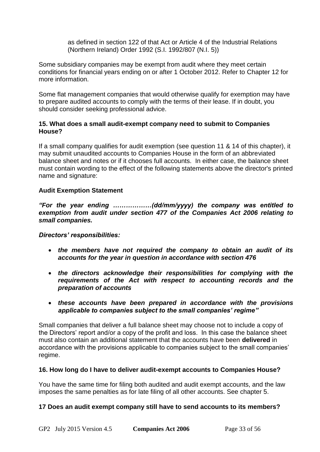[as defined in section 122 of that Act](http://www.legislation.gov.uk/ukpga/1992/52/section/122) or [Article 4 of the Industrial Relations](http://www.legislation.gov.uk/nisi/1992/807/article/4/made)  [\(Northern Ireland\) Order 1992 \(S.I. 1992/807 \(N.I. 5\)\)](http://www.legislation.gov.uk/nisi/1992/807/article/4/made)

Some subsidiary companies may be exempt from audit where they meet certain conditions for financial years ending on or after 1 October 2012. Refer to [Chapter 12](#page-45-0) for more information.

Some flat management companies that would otherwise qualify for exemption may have to prepare audited accounts to comply with the terms of their lease. If in doubt, you should consider seeking professional advice.

## **15. What does a small audit-exempt company need to submit to Companies House?**

If a small company qualifies for audit exemption [\(see question](#page-30-0) 11 & [14](#page-31-0) of this chapter), it may submit unaudited accounts to Companies House in the form of an abbreviated balance sheet and notes or if it chooses full accounts. In either case, the balance sheet must contain wording to the effect of the following statements above the director's printed name and signature:

## **Audit Exemption Statement**

*"For the year ending ………………(dd/mm/yyyy) the company was entitled to exemption from audit under section 477 of the Companies Act 2006 relating to small companies.*

*Directors' responsibilities:*

- *the members have not required the company to obtain an audit of its accounts for the year in question in accordance with section 476*
- *the directors acknowledge their responsibilities for complying with the requirements of the Act with respect to accounting records and the preparation of accounts*
- *these accounts have been prepared in accordance with the provisions applicable to companies subject to the small companies' regime"*

Small companies that deliver a full balance sheet may choose not to include a copy of the Directors' report and/or a copy of the profit and loss. In this case the balance sheet must also contain an additional statement that the accounts have been **delivered** in accordance with the provisions applicable to companies subject to the small companies' regime.

## **16. How long do I have to deliver audit-exempt accounts to Companies House?**

You have the same time for filing both audited and audit exempt accounts, and the law imposes the same penalties as for late filing of all other accounts. See [chapter 5.](#page-18-0)

## **17 Does an audit exempt company still have to send accounts to its members?**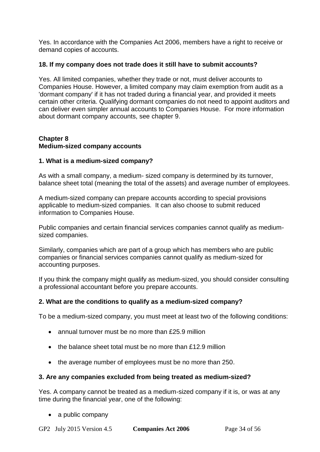Yes. In accordance with the Companies Act 2006, members have a right to receive or demand copies of accounts.

## **18. If my company does not trade does it still have to submit accounts?**

Yes. All limited companies, whether they trade or not, must deliver accounts to Companies House. However, a limited company may claim exemption from audit as a 'dormant company' if it has not traded during a financial year, and provided it meets certain other criteria. Qualifying dormant companies do not need to appoint auditors and can deliver even simpler annual accounts to Companies House. For more information about dormant company accounts, see [chapter](#page-36-0) 9.

#### <span id="page-33-0"></span>**Chapter 8 Medium-sized company accounts**

## **1. What is a medium-sized company?**

As with a small company, a medium- sized company is determined by its turnover, balance sheet total (meaning the total of the assets) and average number of employees.

A medium-sized company can prepare accounts according to special provisions applicable to medium-sized companies. It can also choose to submit reduced information to Companies House.

Public companies and certain financial services companies cannot qualify as mediumsized companies.

Similarly, companies which are part of a group which has members who are public companies or financial services companies cannot qualify as medium-sized for accounting purposes.

If you think the company might qualify as medium-sized, you should consider consulting a professional accountant before you prepare accounts.

## **2. What are the conditions to qualify as a medium-sized company?**

To be a medium-sized company, you must meet at least two of the following conditions:

- annual turnover must be no more than £25.9 million
- the balance sheet total must be no more than £12.9 million
- the average number of employees must be no more than 250.

#### **3. Are any companies excluded from being treated as medium-sized?**

Yes. A company cannot be treated as a medium-sized company if it is, or was at any time during the financial year, one of the following:

• a public company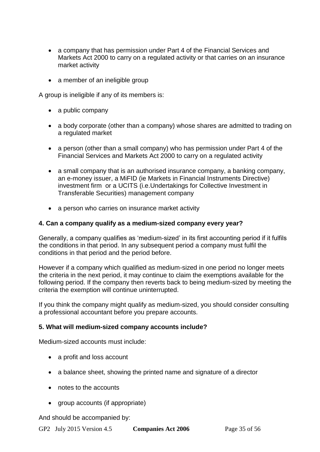- a company that has permission under Part 4 of the Financial Services and Markets Act 2000 to carry on a regulated activity or that carries on an insurance market activity
- a member of an ineligible group

A group is ineligible if any of its members is:

- a public company
- a body corporate (other than a company) whose shares are admitted to trading on a regulated market
- a person (other than a small company) who has permission under Part 4 of the Financial Services and Markets Act 2000 to carry on a regulated activity
- a small company that is an authorised insurance company, a banking company, an e-money issuer, a MiFID (ie Markets in Financial Instruments Directive) investment firm or a UCITS (i.e.Undertakings for Collective Investment in Transferable Securities) management company
- a person who carries on insurance market activity

#### **4. Can a company qualify as a medium-sized company every year?**

Generally, a company qualifies as 'medium-sized' in its first accounting period if it fulfils the conditions in that period. In any subsequent period a company must fulfil the conditions in that period and the period before.

However if a company which qualified as medium-sized in one period no longer meets the criteria in the next period, it may continue to claim the exemptions available for the following period. If the company then reverts back to being medium-sized by meeting the criteria the exemption will continue uninterrupted.

If you think the company might qualify as medium-sized, you should consider consulting a professional accountant before you prepare accounts.

#### **5. What will medium-sized company accounts include?**

Medium-sized accounts must include:

- a profit and loss account
- a balance sheet, showing the printed name and signature of a director
- notes to the accounts
- aroup accounts (if appropriate)

And should be accompanied by: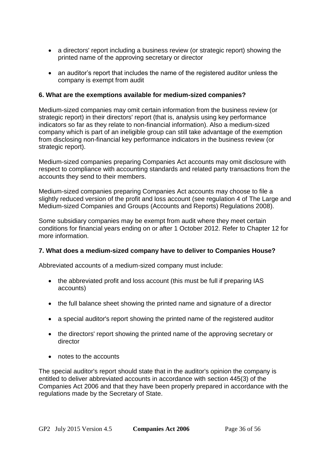- a directors' report including a business review (or strategic report) showing the printed name of the approving secretary or director
- an auditor's report that includes the name of the registered auditor unless the company is exempt from audit

## **6. What are the exemptions available for medium-sized companies?**

Medium-sized companies may omit certain information from the business review (or strategic report) in their directors' report (that is, analysis using key performance indicators so far as they relate to non-financial information). Also a medium-sized company which is part of an ineligible group can still take advantage of the exemption from disclosing non-financial key performance indicators in the business review (or strategic report).

Medium-sized companies preparing Companies Act accounts may omit disclosure with respect to compliance with accounting standards and related party transactions from the accounts they send to their members.

Medium-sized companies preparing Companies Act accounts may choose to file a slightly reduced version of the profit and loss account [\(see regulation 4 of The Large and](http://www.legislation.gov.uk/uksi/2008/410/regulation/4/made)  [Medium-sized Companies and Groups \(Accounts and Reports\) Regulations 2008\)](http://www.legislation.gov.uk/uksi/2008/410/regulation/4/made).

Some subsidiary companies may be exempt from audit where they meet certain conditions for financial years ending on or after 1 October 2012. [Refer to Chapter 12](#page-45-0) for more information.

#### **7. What does a medium-sized company have to deliver to Companies House?**

Abbreviated accounts of a medium-sized company must include:

- the abbreviated profit and loss account (this must be full if preparing IAS accounts)
- the full balance sheet showing the printed name and signature of a director
- a special auditor's report showing the printed name of the registered auditor
- the directors' report showing the printed name of the approving secretary or director
- notes to the accounts

The special auditor's report should state that in the auditor's opinion the company is entitled to deliver abbreviated accounts in accordance with [section 445\(3\) of the](http://www.legislation.gov.uk/ukpga/2006/46/section/445)  [Companies Act 2006](http://www.legislation.gov.uk/ukpga/2006/46/section/445) and that they have been properly prepared in accordance with the regulations made by the Secretary of State.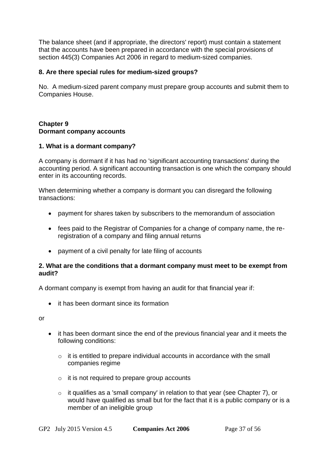The balance sheet (and if appropriate, the directors' report) must contain a statement that the accounts have been prepared in accordance with the special provisions of [section 445\(3\) Companies Act 2006](http://www.legislation.gov.uk/ukpga/2006/46/section/445) in regard to medium-sized companies.

## **8. Are there special rules for medium-sized groups?**

No. A medium-sized parent company must prepare group accounts and submit them to Companies House.

## <span id="page-36-0"></span>**Chapter 9 Dormant company accounts**

#### **1. What is a dormant company?**

A company is dormant if it has had no 'significant accounting transactions' during the accounting period. A significant accounting transaction is one which the company should enter in its accounting records.

When determining whether a company is dormant you can disregard the following transactions:

- payment for shares taken by subscribers to the memorandum of association
- fees paid to the Registrar of Companies for a change of company name, the reregistration of a company and filing annual returns
- payment of a civil penalty for late filing of accounts

## **2. What are the conditions that a dormant company must meet to be exempt from audit?**

A dormant company is exempt from having an audit for that financial year if:

it has been dormant since its formation

or

- it has been dormant since the end of the previous financial year and it meets the following conditions:
	- o it is entitled to prepare individual accounts in accordance with the small companies regime
	- $\circ$  it is not required to prepare group accounts
	- o it qualifies as a 'small company' in relation to that year (see [Chapter 7\)](#page-26-0), or would have qualified as small but for the fact that it is a public company or is a member of an ineligible group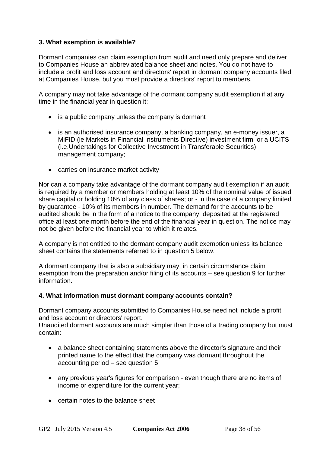## **3. What exemption is available?**

Dormant companies can claim exemption from audit and need only prepare and deliver to Companies House an abbreviated balance sheet and notes. You do not have to include a profit and loss account and directors' report in dormant company accounts filed at Companies House, but you must provide a directors' report to members.

A company may not take advantage of the dormant company audit exemption if at any time in the financial year in question it:

- is a public company unless the company is dormant
- is an authorised insurance company, a banking company, an e-money issuer, a MiFID (ie Markets in Financial Instruments Directive) investment firm or a UCITS (i.e.Undertakings for Collective Investment in Transferable Securities) management company;
- carries on insurance market activity

Nor can a company take advantage of the dormant company audit exemption if an audit is required by a member or members holding at least 10% of the nominal value of issued share capital or holding 10% of any class of shares; or - in the case of a company limited by guarantee - 10% of its members in number. The demand for the accounts to be audited should be in the form of a notice to the company, deposited at the registered office at least one month before the end of the financial year in question. The notice may not be given before the financial year to which it relates.

A company is not entitled to the dormant company audit exemption unless its balance sheet contains the statements referred to in [question 5](#page-38-0) below.

A dormant company that is also a subsidiary may, in certain circumstance claim exemption from the preparation and/or filing of its accounts – [see question 9](#page-39-0) for further information.

#### <span id="page-37-0"></span>**4. What information must dormant company accounts contain?**

Dormant company accounts submitted to Companies House need not include a profit and loss account or directors' report.

Unaudited dormant accounts are much simpler than those of a trading company but must contain:

- a balance sheet containing statements above the director's signature and their printed name to the effect that the company was dormant throughout the accounting period – see [question 5](#page-38-0)
- any previous year's figures for comparison even though there are no items of income or expenditure for the current year;
- certain notes to the balance sheet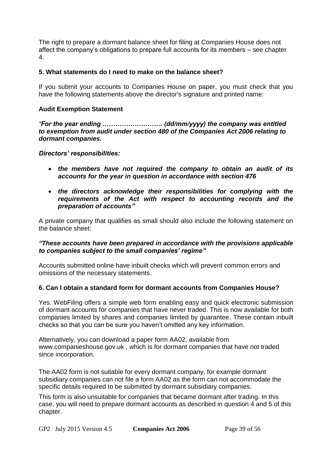The right to prepare a dormant balance sheet for filing at Companies House does not affect the company's obligations to prepare full accounts for its members – [see chapter](#page-15-1)  [4.](#page-15-1)

#### <span id="page-38-0"></span>**5. What statements do I need to make on the balance sheet?**

If you submit your accounts to Companies House on paper, you must check that you have the following statements above the director's signature and printed name:

## **Audit Exemption Statement**

*"For the year ending ………………………. (dd/mm/yyyy) the company was entitled to exemption from audit under section 480 of the Companies Act 2006 relating to dormant companies.*

#### *Directors' responsibilities:*

- *the members have not required the company to obtain an audit of its accounts for the year in question in accordance with section 476*
- *the directors acknowledge their responsibilities for complying with the requirements of the Act with respect to accounting records and the preparation of accounts"*

A private company that qualifies as small should also include the following statement on the balance sheet:

#### *"These accounts have been prepared in accordance with the provisions applicable to companies subject to the small companies' regime"*

Accounts submitted online have inbuilt checks which will prevent common errors and omissions of the necessary statements.

## **6. Can I obtain a standard form for dormant accounts from Companies House?**

Yes. [WebFiling offers a simple web form](http://www.companieshouse.gov.uk/forms/introduction.shtml) enabling easy and quick electronic submission of dormant accounts for companies that have never traded. This is now available for both companies limited by shares and companies limited by guarantee. These contain inbuilt checks so that you can be sure you haven't omitted any key information.

Alternatively, you can download a paper form AA02, available from [www.companieshouse.gov.uk](http://www.companieshouse.gov.uk/) , which is for dormant companies that have not traded since incorporation.

The AA02 form is not suitable for every dormant company, for example dormant subsidiary companies can not file a form AA02 as the form can not accommodate the specific details required to be submitted by dormant subsidiary companies.

This form is also unsuitable for companies that became dormant after trading. In this case, you will need to prepare dormant accounts as described in [question 4](#page-37-0) and [5](#page-38-0) of this chapter.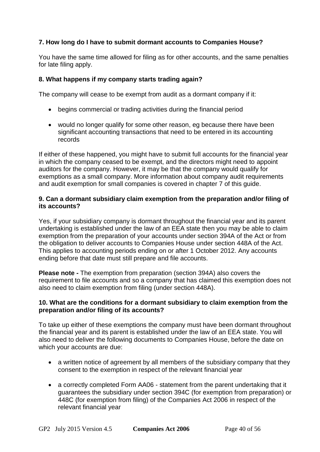## **7. How long do I have to submit dormant accounts to Companies House?**

You have the same time allowed for filing as for other accounts, and the same penalties for late filing apply.

## **8. What happens if my company starts trading again?**

The company will cease to be exempt from audit as a dormant company if it:

- begins commercial or trading activities during the financial period
- would no longer qualify for some other reason, eg because there have been significant accounting transactions that need to be entered in its accounting records

If either of these happened, you might have to submit full accounts for the financial year in which the company ceased to be exempt, and the directors might need to [appoint](http://www.companieshouse.gov.uk/forms/formsOnlineInfo.shtml#DCA)  [auditors](http://www.companieshouse.gov.uk/forms/formsOnlineInfo.shtml#DCA) for the company. However, it may be that the company would qualify for exemptions as a small company. More information about company audit requirements and audit exemption for small companies is covered in [chapter 7](#page-26-0) of this guide.

## <span id="page-39-0"></span>**9. Can a dormant subsidiary claim exemption from the preparation and/or filing of its accounts?**

Yes, if your subsidiary company is dormant throughout the financial year and its parent undertaking is established under the law of an EEA state then you may be able to claim exemption from the preparation of your accounts [under section 394A of the Act](http://www.legislation.gov.uk/ukpga/2006/46/section/394A) or from the obligation to deliver accounts to Companies House [under section 448A of the Act.](http://www.legislation.gov.uk/ukpga/2006/46/section/448A) This applies to accounting periods ending on or after 1 October 2012. Any accounts ending before that date must still prepare and file accounts.

**Please note -** The exemption from preparation (section 394A) also covers the requirement to file accounts and so a company that has claimed this exemption does not also need to claim exemption from filing (under section 448A).

## **10. What are the conditions for a dormant subsidiary to claim exemption from the preparation and/or filing of its accounts?**

To take up either of these exemptions the company must have been dormant throughout the financial year and its parent is established under the law of an EEA state. You will also need to deliver the following documents to Companies House, before the date on which your accounts are due:

- a written notice of agreement by all members of the subsidiary company that they consent to the exemption in respect of the relevant financial year
- a correctly completed [Form AA06](http://www.companieshouse.gov.uk/forms/generalForms/AA06_statement_of_guarantee_by_a_parent_undertaking_of_a_subsidiary_company.pdf) statement from the parent undertaking that it guarantees the subsidiary [under section 394C](http://www.legislation.gov.uk/ukpga/2006/46/section/394C) (for exemption from preparation) or [448C](http://www.legislation.gov.uk/ukpga/2006/46/section/448C) (for exemption from filing) of the Companies Act 2006 in respect of the relevant financial year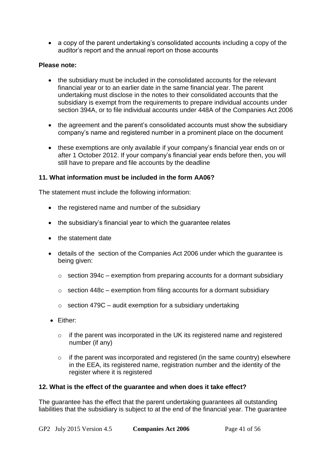a copy of the parent undertaking's consolidated accounts including a copy of the auditor's report and the annual report on those accounts

## **Please note:**

- the subsidiary must be included in the consolidated accounts for the relevant financial year or to an earlier date in the same financial year. The parent undertaking must disclose in the notes to their consolidated accounts that the subsidiary is exempt from the requirements to prepare individual accounts under [section 394A,](http://www.legislation.gov.uk/ukpga/2006/46/section/394A) or to file individual accounts [under 448A of the Companies Act 2006](http://www.legislation.gov.uk/ukpga/2006/46/section/448A)
- the agreement and the parent's consolidated accounts must show the subsidiary company's name and registered number in a prominent place on the document
- these exemptions are only available if your company's financial year ends on or after 1 October 2012. If your company's financial year ends before then, you will still have to prepare and file accounts by the deadline

## **11. What information must be included in the form AA06?**

The statement must include the following information:

- the registered name and number of the subsidiary
- the subsidiary's financial year to which the quarantee relates
- the statement date
- details of the section of the Companies Act 2006 under which the guarantee is being given:
	- $\circ$  [section 394c](http://www.legislation.gov.uk/ukpga/2006/46/section/394C) exemption from preparing accounts for a dormant subsidiary
	- $\circ$  [section 448c](http://www.legislation.gov.uk/ukpga/2006/46/section/448C) exemption from filing accounts for a dormant subsidiary
	- $\circ$  [section 479C](http://www.legislation.gov.uk/ukpga/2006/46/section/479C) audit exemption for a subsidiary undertaking
- Either:
	- o if the parent was incorporated in the UK its registered name and registered number (if any)
	- o if the parent was incorporated and registered (in the same country) elsewhere in the EEA, its registered name, registration number and the identity of the register where it is registered

#### **12. What is the effect of the guarantee and when does it take effect?**

The guarantee has the effect that the parent undertaking guarantees all outstanding liabilities that the subsidiary is subject to at the end of the financial year. The guarantee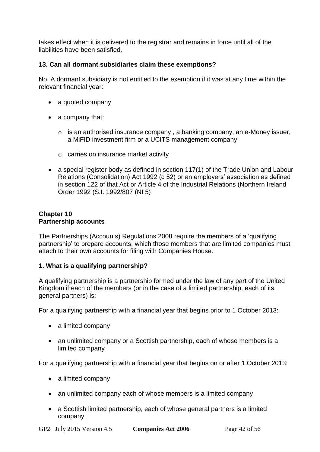takes effect when it is delivered to the registrar and remains in force until all of the liabilities have been satisfied.

## **13. Can all dormant subsidiaries claim these exemptions?**

No. A dormant subsidiary is not entitled to the exemption if it was at any time within the relevant financial year:

- a quoted company
- $\bullet$  a company that:
	- o is an authorised insurance company , a banking company, an e-Money issuer, a MiFID investment firm or a UCITS management company
	- o carries on insurance market activity
- a special register body as defined [in section 117\(1\) of the Trade Union and Labour](http://www.legislation.gov.uk/ukpga/1992/52/section/117)  [Relations \(Consolidation\) Act 1992 \(c 52\)](http://www.legislation.gov.uk/ukpga/1992/52/section/117) or [an employers' association as defined](http://www.legislation.gov.uk/ukpga/1992/52/section/122)  [in section 122 of that Act](http://www.legislation.gov.uk/ukpga/1992/52/section/122) or [Article 4 of the Industrial Relations \(Northern Ireland](http://www.legislation.gov.uk/nisi/1992/807/article/4/made)  [Order 1992 \(S.I. 1992/807 \(NI 5\)](http://www.legislation.gov.uk/nisi/1992/807/article/4/made)

#### <span id="page-41-0"></span>**Chapter 10 Partnership accounts**

[The Partnerships \(Accounts\) Regulations 2008](http://www.legislation.gov.uk/uksi/2008/569/contents/made) require the members of a 'qualifying partnership' to prepare accounts, which those members that are limited companies must attach to their own accounts for filing with Companies House.

#### **1. What is a qualifying partnership?**

A qualifying partnership is a partnership formed under the law of any part of the United Kingdom if each of the members (or in the case of a limited partnership, each of its general partners) is:

For a qualifying partnership with a financial year that begins prior to 1 October 2013:

- a limited company
- an unlimited company or a Scottish partnership, each of whose members is a limited company

For a qualifying partnership with a financial year that begins on or after 1 October 2013:

- a limited company
- an unlimited company each of whose members is a limited company
- a Scottish limited partnership, each of whose general partners is a limited company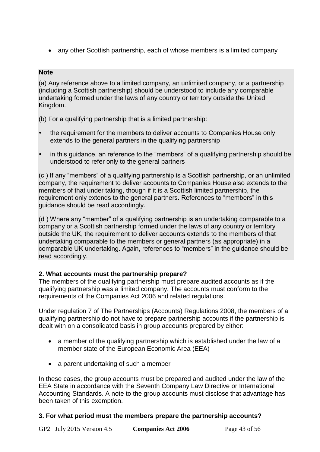• any other Scottish partnership, each of whose members is a limited company

## **Note**

(a) Any reference above to a limited company, an unlimited company, or a partnership (including a Scottish partnership) should be understood to include any comparable undertaking formed under the laws of any country or territory outside the United Kingdom.

(b) For a qualifying partnership that is a limited partnership:

- the requirement for the members to deliver accounts to Companies House only extends to the general partners in the qualifying partnership
- in this guidance, an reference to the "members" of a qualifying partnership should be understood to refer only to the general partners

(c ) If any "members" of a qualifying partnership is a Scottish partnership, or an unlimited company, the requirement to deliver accounts to Companies House also extends to the members of that under taking, though if it is a Scottish limited partnership, the requirement only extends to the general partners. References to "members" in this guidance should be read accordingly.

(d ) Where any "member" of a qualifying partnership is an undertaking comparable to a company or a Scottish partnership formed under the laws of any country or territory outside the UK, the requirement to deliver accounts extends to the members of that undertaking comparable to the members or general partners (as appropriate) in a comparable UK undertaking. Again, references to "members" in the guidance should be read accordingly.

## **2. What accounts must the partnership prepare?**

The members of the qualifying partnership must prepare audited accounts as if the qualifying partnership was a limited company. The accounts must conform to the requirements of the Companies Act 2006 and related regulations.

Under regulation 7 of The [Partnerships \(Accounts\) Regulations 2008,](http://www.legislation.gov.uk/uksi/2008/569/regulation/7/made) the members of a qualifying partnership do not have to prepare partnership accounts if the partnership is dealt with on a consolidated basis in group accounts prepared by either:

- a member of the qualifying partnership which is established under the law of a member state of the European Economic Area (EEA)
- a parent undertaking of such a member

In these cases, the group accounts must be prepared and audited under the law of the EEA State in accordance with the Seventh Company Law Directive or International Accounting Standards. A note to the group accounts must disclose that advantage has been taken of this exemption.

## **3. For what period must the members prepare the partnership accounts?**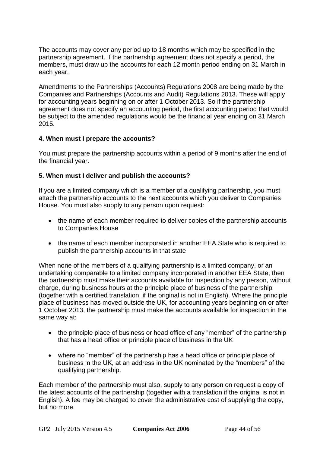The accounts may cover any period up to 18 months which may be specified in the partnership agreement. If the partnership agreement does not specify a period, the members, must draw up the accounts for each 12 month period ending on 31 March in each year.

Amendments to [the Partnerships \(Accounts\) Regulations 2008](http://www.legislation.gov.uk/uksi/2008/569/contents/made) are being made by the [Companies and Partnerships \(Accounts and Audit\) Regulations 2013.](http://www.legislation.gov.uk/uksi/2013/2005/contents/made) These will apply for accounting years beginning on or after 1 October 2013. So if the partnership agreement does not specify an accounting period, the first accounting period that would be subject to the amended regulations would be the financial year ending on 31 March 2015.

## **4. When must I prepare the accounts?**

You must prepare the partnership accounts within a period of 9 months after the end of the financial year.

## **5. When must I deliver and publish the accounts?**

If you are a limited company which is a member of a qualifying partnership, you must attach the partnership accounts to the next accounts which you deliver to Companies House. You must also supply to any person upon request:

- the name of each member required to deliver copies of the partnership accounts to Companies House
- the name of each member incorporated in another EEA State who is required to publish the partnership accounts in that state

When none of the members of a qualifying partnership is a limited company, or an undertaking comparable to a limited company incorporated in another EEA State, then the partnership must make their accounts available for inspection by any person, without charge, during business hours at the principle place of business of the partnership (together with a certified translation, if the original is not in English). Where the principle place of business has moved outside the UK, for accounting years beginning on or after 1 October 2013, the partnership must make the accounts available for inspection in the same way at:

- the principle place of business or head office of any "member" of the partnership that has a head office or principle place of business in the UK
- where no "member" of the partnership has a head office or principle place of business in the UK, at an address in the UK nominated by the "members" of the qualifying partnership.

Each member of the partnership must also, supply to any person on request a copy of the latest accounts of the partnership (together with a translation if the original is not in English). A fee may be charged to cover the administrative cost of supplying the copy, but no more.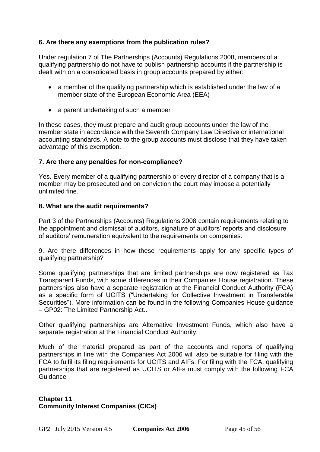## **6. Are there any exemptions from the publication rules?**

Under [regulation 7 of The Partnerships \(Accounts\) Regulations 2008,](http://www.legislation.gov.uk/uksi/2008/569/regulation/7/made) members of a qualifying partnership do not have to publish partnership accounts if the partnership is dealt with on a consolidated basis in group accounts prepared by either:

- a member of the qualifying partnership which is established under the law of a member state of the European Economic Area (EEA)
- a parent undertaking of such a member

In these cases, they must prepare and audit group accounts under the law of the member state in accordance with the Seventh Company Law Directive or international accounting standards. A note to the group accounts must disclose that they have taken advantage of this exemption.

#### **7. Are there any penalties for non-compliance?**

Yes. Every member of a qualifying partnership or every director of a company that is a member may be prosecuted and on conviction the court may impose a potentially unlimited fine.

#### **8. What are the audit requirements?**

[Part 3 of the Partnerships \(Accounts\) Regulations 2008](http://www.legislation.gov.uk/uksi/2008/569/part/3/made) contain requirements relating to the appointment and dismissal of auditors, signature of auditors' reports and disclosure of auditors' remuneration equivalent to the requirements on companies.

9. Are there differences in how these requirements apply for any specific types of qualifying partnership?

Some qualifying partnerships that are limited partnerships are now registered as Tax Transparent Funds, with some differences in their Companies House registration. These partnerships also have a separate registration at the Financial Conduct Authority (FCA) as a specific form of UCITS ("Undertaking for Collective Investment in Transferable Securities"). More information can be found in the following Companies House guidance – [GP02: The Limited Partnership Act..](http://www.companieshouse.gov.uk/about/gbhtml/gp2.shtml)

Other qualifying partnerships are Alternative Investment Funds, which also have a separate registration at the Financial Conduct Authority.

Much of the material prepared as part of the accounts and reports of qualifying partnerships in line with the Companies Act 2006 will also be suitable for filing with the FCA to fulfil its filing requirements for UCITS and AIFs. For filing with the FCA, qualifying partnerships that are registered as UCITS or AIFs must comply with the following [FCA](http://www.fca.org.uk/)  [Guidance](http://www.fca.org.uk/) .

## <span id="page-44-0"></span>**Chapter 11 Community Interest Companies (CICs)**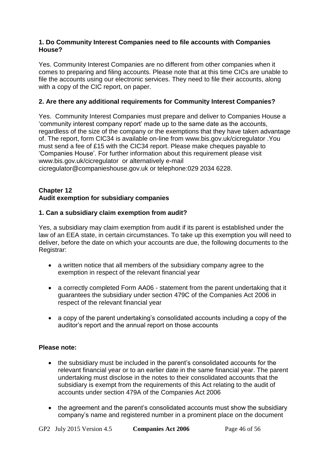#### **1. Do Community Interest Companies need to file accounts with Companies House?**

Yes. Community Interest Companies are no different from other companies when it comes to preparing and filing accounts. Please note that at this time CICs are unable to file the accounts using our electronic services. They need to file their accounts, along with a copy of the CIC report, on paper.

## **2. Are there any additional requirements for Community Interest Companies?**

Yes. Community Interest Companies must prepare and deliver to Companies House a 'community interest company report' made up to the same date as the accounts, regardless of the size of the company or the exemptions that they have taken advantage of. The report, form CIC34 is available on-line from [www.bis.gov.uk/cicregulator](http://www.bis.gov.uk/cicregulator) .You must send a fee of £15 with the CIC34 report. Please make cheques payable to 'Companies House'. For further information about this requirement please visit [www.bis.gov.uk/cicregulator](http://www.bis.gov.uk/cicregulator) or alternatively e-mail [cicregulator@companieshouse.gov.uk](mailto:cicregulator@companieshouse.gov.uk) or telephone:029 2034 6228.

#### <span id="page-45-0"></span>**Chapter 12 Audit exemption for subsidiary companies**

#### **1. Can a subsidiary claim exemption from audit?**

Yes, a subsidiary may claim exemption from audit if its parent is established under the law of an EEA state, in certain circumstances. To take up this exemption you will need to deliver, before the date on which your accounts are due, the following documents to the Registrar:

- a written notice that all members of the subsidiary company agree to the exemption in respect of the relevant financial year
- a correctly completed [Form AA06](http://www.companieshouse.gov.uk/forms/generalForms/AA06_statement_of_guarantee_by_a_parent_undertaking_of_a_subsidiary_company.pdf) statement from the parent undertaking that it guarantees the subsidiary [under section 479C of the Companies Act 2006](http://www.legislation.gov.uk/ukpga/2006/46/section/479C) in respect of the relevant financial year
- a copy of the parent undertaking's consolidated accounts including a copy of the auditor's report and the annual report on those accounts

#### **Please note:**

- the subsidiary must be included in the parent's consolidated accounts for the relevant financial year or to an earlier date in the same financial year. The parent undertaking must disclose in the notes to their consolidated accounts that the subsidiary is exempt from the requirements of this Act relating to the audit of accounts [under section 479A of the Companies Act 2006](http://www.legislation.gov.uk/ukpga/2006/46/section/479A)
- the agreement and the parent's consolidated accounts must show the subsidiary company's name and registered number in a prominent place on the document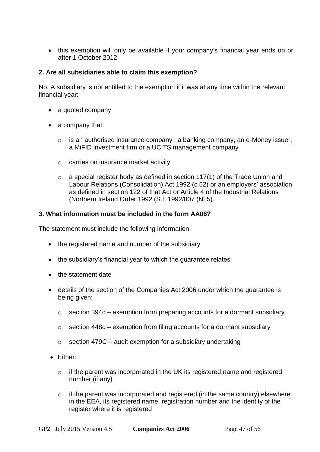this exemption will only be available if your company's financial year ends on or after 1 October 2012

## **2. Are all subsidiaries able to claim this exemption?**

No. A subsidiary is not entitled to the exemption if it was at any time within the relevant financial year:

- a quoted company
- a company that:
	- o is an authorised insurance company , a banking company, an e-Money issuer, a MiFID investment firm or a UCITS management company
	- o carries on insurance market activity
	- $\circ$  a special register body as defined in section 117(1) of the Trade Union and [Labour Relations \(Consolidation\) Act 1992 \(c 52\)](http://www.legislation.gov.uk/ukpga/1992/52/section/117) or [an employers' association](http://www.legislation.gov.uk/ukpga/1992/52/section/122)  [as defined in section 122 of that Act](http://www.legislation.gov.uk/ukpga/1992/52/section/122) or [Article 4 of the Industrial Relations](http://www.legislation.gov.uk/nisi/1992/807/article/4/made)  [\(Northern Ireland Order 1992 \(S.I. 1992/807 \(NI 5\).](http://www.legislation.gov.uk/nisi/1992/807/article/4/made)

#### **3. What information must be included in the form AA06?**

The statement must include the following information:

- the registered name and number of the subsidiary
- the subsidiary's financial year to which the guarantee relates
- the statement date
- details of the section of the Companies Act 2006 under which the guarantee is being given:
	- $\circ$  [section 394c](http://www.legislation.gov.uk/ukpga/2006/46/section/394C) exemption from preparing accounts for a dormant subsidiary
	- $\circ$  [section 448c](http://www.legislation.gov.uk/ukpga/2006/46/section/448C) exemption from filing accounts for a dormant subsidiary
	- $\circ$  [section 479C](http://www.legislation.gov.uk/ukpga/2006/46/section/479C) audit exemption for a subsidiary undertaking
- Either:
	- o if the parent was incorporated in the UK its registered name and registered number (if any)
	- $\circ$  if the parent was incorporated and registered (in the same country) elsewhere in the EEA, its registered name, registration number and the identity of the register where it is registered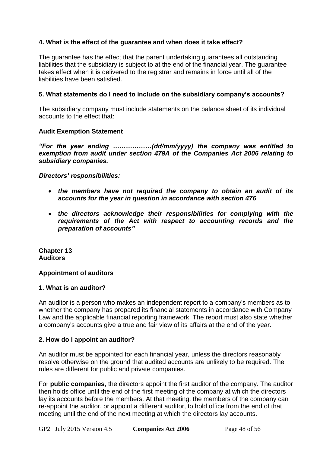## **4. What is the effect of the guarantee and when does it take effect?**

The guarantee has the effect that the parent undertaking guarantees all outstanding liabilities that the subsidiary is subject to at the end of the financial year. The guarantee takes effect when it is delivered to the registrar and remains in force until all of the liabilities have been satisfied.

## **5. What statements do I need to include on the subsidiary company's accounts?**

The subsidiary company must include statements on the balance sheet of its individual accounts to the effect that:

#### **Audit Exemption Statement**

#### *"For the year ending ………………(dd/mm/yyyy) the company was entitled to exemption from audit under section 479A of the Companies Act 2006 relating to subsidiary companies.*

*Directors' responsibilities:*

- *the members have not required the company to obtain an audit of its accounts for the year in question in accordance with section 476*
- *the directors acknowledge their responsibilities for complying with the requirements of the Act with respect to accounting records and the preparation of accounts"*

<span id="page-47-0"></span>**Chapter 13 Auditors**

#### **Appointment of auditors**

#### **1. What is an auditor?**

An auditor is a person who makes an independent report to a company's members as to whether the company has prepared its financial statements in accordance with Company Law and the applicable financial reporting framework. The report must also state whether a company's accounts give a true and fair view of its affairs at the end of the year.

#### **2. How do I appoint an auditor?**

An auditor must be appointed for each financial year, unless the directors reasonably resolve otherwise on the ground that audited accounts are unlikely to be required. The rules are different for public and private companies.

For **public companies**, the directors appoint the first auditor of the company. The auditor then holds office until the end of the first meeting of the company at which the directors lay its accounts before the members. At that meeting, the members of the company can re-appoint the auditor, or appoint a different auditor, to hold office from the end of that meeting until the end of the next meeting at which the directors lay accounts.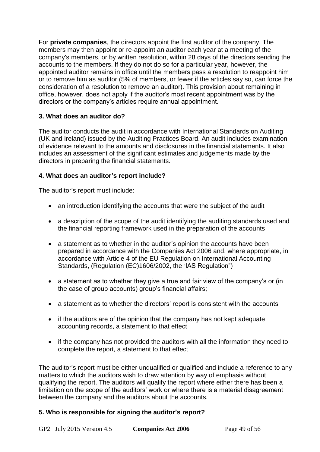For **private companies**, the directors appoint the first auditor of the company. The members may then appoint or re-appoint an auditor each year at a meeting of the company's members, or by written resolution, within 28 days of the directors sending the accounts to the members. If they do not do so for a particular year, however, the appointed auditor remains in office until the members pass a resolution to reappoint him or to remove him as auditor (5% of members, or fewer if the articles say so, can force the consideration of a resolution to remove an auditor). This provision about remaining in office, however, does not apply if the auditor's most recent appointment was by the directors or the company's articles require annual appointment.

## **3. What does an auditor do?**

The auditor conducts the audit in accordance with International Standards on Auditing (UK and Ireland) issued by the Auditing Practices Board. An audit includes examination of evidence relevant to the amounts and disclosures in the financial statements. It also includes an assessment of the significant estimates and judgements made by the directors in preparing the financial statements.

## **4. What does an auditor's report include?**

The auditor's report must include:

- an introduction identifying the accounts that were the subject of the audit
- a description of the scope of the audit identifying the auditing standards used and the financial reporting framework used in the preparation of the accounts
- a statement as to whether in the auditor's opinion the accounts have been prepared in accordance with the Companies Act 2006 and, where appropriate, in accordance with Article 4 of the EU Regulation on International Accounting Standards, (Regulation (EC)1606/2002, the "IAS Regulation")
- a statement as to whether they give a true and fair view of the company's or (in the case of group accounts) group's financial affairs;
- a statement as to whether the directors' report is consistent with the accounts
- if the auditors are of the opinion that the company has not kept adequate accounting records, a statement to that effect
- if the company has not provided the auditors with all the information they need to complete the report, a statement to that effect

The auditor's report must be either unqualified or qualified and include a reference to any matters to which the auditors wish to draw attention by way of emphasis without qualifying the report. The auditors will qualify the report where either there has been a limitation on the scope of the auditors' work or where there is a material disagreement between the company and the auditors about the accounts.

## **5. Who is responsible for signing the auditor's report?**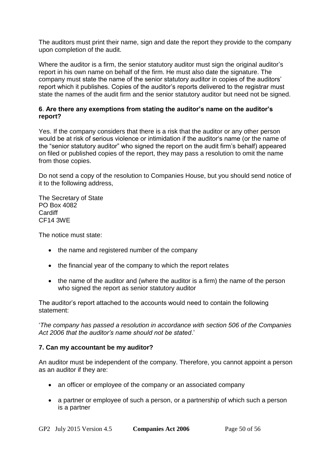The auditors must print their name, sign and date the report they provide to the company upon completion of the audit.

Where the auditor is a firm, the senior statutory auditor must sign the original auditor's report in his own name on behalf of the firm. He must also date the signature. The company must state the name of the senior statutory auditor in copies of the auditors' report which it publishes. Copies of the auditor's reports delivered to the registrar must state the names of the audit firm and the senior statutory auditor but need not be signed.

#### <span id="page-49-1"></span><span id="page-49-0"></span>**6**. **Are there any exemptions from stating the auditor's name on the auditor's report?**

Yes. If the company considers that there is a risk that the auditor or any other person would be at risk of serious violence or intimidation if the auditor's name (or the name of the "senior statutory auditor" who signed the report on the audit firm's behalf) appeared on filed or published copies of the report, they may pass a resolution to omit the name from those copies.

Do not send a copy of the resolution to Companies House, but you should send notice of it to the following address,

The Secretary of State PO Box 4082 **Cardiff** CF14 3WE

The notice must state:

- the name and registered number of the company
- the financial year of the company to which the report relates
- the name of the auditor and (where the auditor is a firm) the name of the person who signed the report as senior statutory auditor

The auditor's report attached to the accounts would need to contain the following statement:

'*The company has passed a resolution in accordance with [section 506 of the Companies](http://www.legislation.gov.uk/ukpga/2006/46/section/506)  [Act 2006](http://www.legislation.gov.uk/ukpga/2006/46/section/506) that the auditor's name should not be stated*.'

#### **7. Can my accountant be my auditor?**

An auditor must be independent of the company. Therefore, you cannot appoint a person as an auditor if they are:

- an officer or employee of the company or an associated company
- a partner or employee of such a person, or a partnership of which such a person is a partner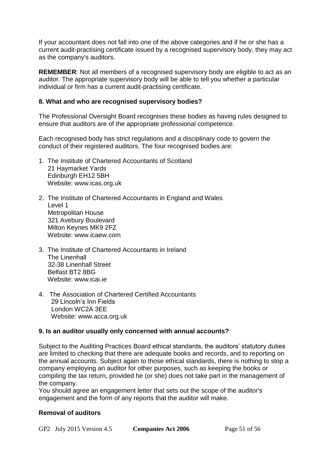If your accountant does not fall into one of the above categories and if he or she has a current audit-practising certificate issued by a recognised supervisory body, they may act as the company's auditors.

**REMEMBER**: Not all members of a recognised supervisory body are eligible to act as an auditor. The appropriate supervisory body will be able to tell you whether a particular individual or firm has a current audit-practising certificate.

#### **8. What and who are recognised supervisory bodies?**

The Professional Oversight Board recognises these bodies as having rules designed to ensure that auditors are of the appropriate professional competence.

Each recognised body has strict regulations and a disciplinary code to govern the conduct of their registered auditors. The four recognised bodies are:

- 1. The Institute of Chartered Accountants of Scotland 21 Haymarket Yards Edinburgh EH12 5BH Website: [www.icas.org.uk](http://www.icas.org.uk/)
- 2. The Institute of Chartered Accountants in England and Wales Level 1 Metropolitan House 321 Avebury Boulevard Milton Keynes MK9 2FZ Website: [www.icaew.com](http://www.icaew.com/)
- 3. The Institute of Chartered Accountants in Ireland The Linenhall 32-38 Linenhall Street Belfast BT2 8BG Website: [www.icai.ie](http://www.icai.ie/)
- 4. The Association of Chartered Certified Accountants 29 Lincoln's Inn Fields London WC2A 3EE Website: [www.acca.org.uk](http://www.acca.org.uk/)

#### **9. Is an auditor usually only concerned with annual accounts?**

Subject to the Auditing Practices Board ethical standards, the auditors' statutory duties are limited to checking that there are adequate books and records, and to reporting on the annual accounts. Subject again to those ethical standards, there is nothing to stop a company employing an auditor for other purposes, such as keeping the books or compiling the tax return, provided he (or she) does not take part in the management of the company.

You should agree an engagement letter that sets out the scope of the auditor's engagement and the form of any reports that the auditor will make.

#### **Removal of auditors**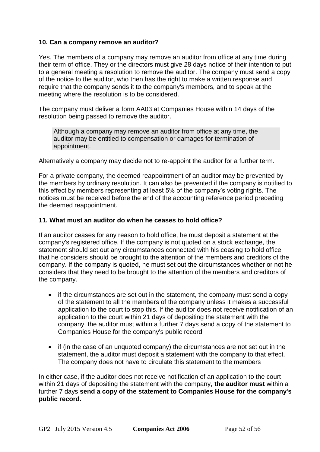#### **10. Can a company remove an auditor?**

Yes. The members of a company may remove an auditor from office at any time during their term of office. They or the directors must give 28 days notice of their intention to put to a general meeting a resolution to remove the auditor. The company must send a copy of the notice to the auditor, who then has the right to make a written response and require that the company sends it to the company's members, and to speak at the meeting where the resolution is to be considered.

The company must deliver a [form AA03](http://www.companieshouse.gov.uk/forms/generalForms/AA03_notice_of_resolution_removing_auditors_from_office.pdf) at Companies House within 14 days of the resolution being passed to remove the auditor.

Although a company may remove an auditor from office at any time, the auditor may be entitled to compensation or damages for termination of appointment.

Alternatively a company may decide not to re-appoint the auditor for a further term.

For a private company, the deemed reappointment of an auditor may be prevented by the members by ordinary resolution. It can also be prevented if the company is notified to this effect by members representing at least 5% of the company's voting rights. The notices must be received before the end of the accounting reference period preceding the deemed reappointment.

#### **11. What must an auditor do when he ceases to hold office?**

If an auditor ceases for any reason to hold office, he must deposit a statement at the company's registered office. If the company is not quoted on a stock exchange, the statement should set out any circumstances connected with his ceasing to hold office that he considers should be brought to the attention of the members and creditors of the company. If the company is quoted, he must set out the circumstances whether or not he considers that they need to be brought to the attention of the members and creditors of the company.

- if the circumstances are set out in the statement, the company must send a copy of the statement to all the members of the company unless it makes a successful application to the court to stop this. If the auditor does not receive notification of an application to the court within 21 days of depositing the statement with the company, the auditor must within a further 7 days send a copy of the statement to Companies House for the company's public record
- if (in the case of an unquoted company) the circumstances are not set out in the statement, the auditor must deposit a statement with the company to that effect. The company does not have to circulate this statement to the members

In either case, if the auditor does not receive notification of an application to the court within 21 days of depositing the statement with the company, **the auditor must** within a further 7 days **send a copy of the statement to Companies House for the company's public record.**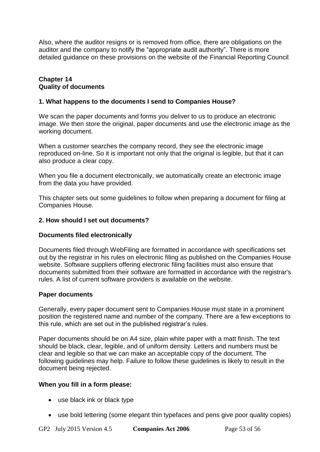Also, where the auditor resigns or is removed from office, there are obligations on the auditor and the company to notify the "appropriate audit authority". There is more detailed guidance on these provisions on the website of the [Financial Reporting Council](http://www.frc.org.uk/Our-Work/Conduct/Professional-oversight/Oversight-of-Audit/Notification-of-change-of-auditor.aspx).

#### <span id="page-52-0"></span>**Chapter 14 Quality of documents**

#### **1. What happens to the documents I send to Companies House?**

We scan the paper documents and forms you deliver to us to produce an electronic image. We then store the original, paper documents and use the electronic image as the working document.

When a customer searches the company record, they see the electronic image reproduced on-line. So it is important not only that the original is legible, but that it can also produce a clear copy.

When you file a document electronically, we automatically create an electronic image from the data you have provided.

This chapter sets out some guidelines to follow when preparing a document for filing at Companies House.

## **2. How should I set out documents?**

## **Documents filed electronically**

Documents filed through WebFiling are formatted in accordance with specifications set out by the registrar in his rules on electronic filing as published on the Companies House website. Software suppliers offering electronic filing facilities must also ensure that documents submitted from their software are formatted in accordance with the registrar's rules. A list of current software providers is available on the website.

#### **Paper documents**

Generally, every paper document sent to Companies House must state in a prominent position the registered name and number of the company. There are a few exceptions to this rule, which are set out in the published registrar's rules.

Paper documents should be on A4 size, plain white paper with a matt finish. The text should be black, clear, legible, and of uniform density. Letters and numbers must be clear and legible so that we can make an acceptable copy of the document. The following guidelines may help. Failure to follow these guidelines is likely to result in the document being rejected.

#### **When you fill in a form please:**

- use black ink or black type
- use bold lettering (some elegant thin typefaces and pens give poor quality copies)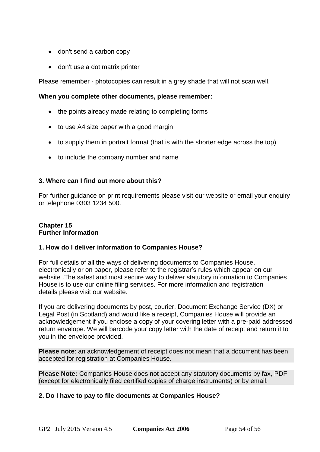- don't send a carbon copy
- don't use a dot matrix printer

Please remember - photocopies can result in a grey shade that will not scan well.

## **When you complete other documents, please remember:**

- the points already made relating to completing forms
- to use A4 size paper with a good margin
- to supply them in portrait format (that is with the shorter edge across the top)
- to include the company number and name

## **3. Where can I find out more about this?**

For further [guidance on print requirements](http://www.companieshouse.gov.uk/forms/formsOnlineGuide.shtml) please visit our website or [email your enquiry](mailto:enquiries@companieshouse.gov.uk) or telephone 0303 1234 500.

## <span id="page-53-0"></span>**Chapter 15 Further Information**

## **1. How do I deliver information to Companies House?**

For full details of all the ways of delivering documents to Companies House, electronically or on paper, please refer to [the registrar's rules](http://www.companieshouse.gov.uk/about/policyDocuments/registrarsRules/infoRegistrarsRules.shtml) which appear on our website .The safest and most secure way to deliver statutory information to Companies House is to use our online filing services. For more information and registration details please visit our website.

If you are delivering documents by post, courier, Document Exchange Service (DX) or Legal Post (in Scotland) and would like a receipt, Companies House will provide an acknowledgement if you enclose a copy of your covering letter with a pre-paid addressed return envelope. We will barcode your copy letter with the date of receipt and return it to you in the envelope provided.

**Please note**: an acknowledgement of receipt does not mean that a document has been accepted for registration at Companies House.

**Please Note:** Companies House does not accept any statutory documents by fax, PDF (except for electronically filed certified copies of charge instruments) or by email.

## **2. Do I have to pay to file documents at Companies House?**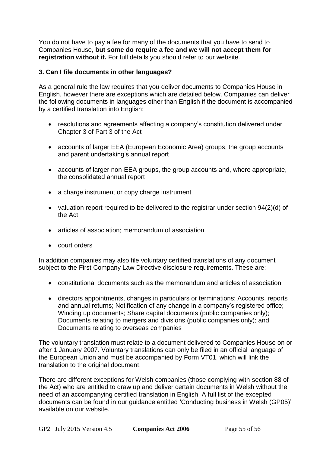You do not have to pay a fee for many of the documents that you have to send to Companies House, **but some do require a fee and we will not accept them for registration without it.** For full details you should refer to our website.

## **3. Can I file documents in other languages?**

As a general rule the law requires that you deliver documents to Companies House in English, however there are exceptions which are detailed below. Companies can deliver the following documents in languages other than English if the document is accompanied by a certified translation into English:

- resolutions and agreements affecting a company's constitution delivered under [Chapter 3 of Part 3 of the Act](http://www.legislation.gov.uk/ukpga/2006/46/part/3/chapter/3)
- accounts of larger EEA (European Economic Area) groups, the group accounts and parent undertaking's annual report
- accounts of larger non-EEA groups, the group accounts and, where appropriate, the consolidated annual report
- a charge instrument or copy charge instrument
- valuation report required to be delivered to the registrar under section  $94(2)(d)$  of [the Act](http://www.legislation.gov.uk/ukpga/2006/46/section/94)
- articles of association; memorandum of association
- court orders

In addition companies may also file voluntary certified translations of any document subject to the First Company Law Directive disclosure requirements. These are:

- constitutional documents such as the memorandum and articles of association
- directors appointments, changes in particulars or terminations; Accounts, reports and annual returns; Notification of any change in a company's registered office; Winding up documents; Share capital documents (public companies only); Documents relating to mergers and divisions (public companies only); and Documents relating to overseas companies

The voluntary translation must relate to a document delivered to Companies House on or after 1 January 2007. Voluntary translations can only be filed in an official language of the European Union and must be accompanied by [Form VT01](http://www.companieshouse.gov.uk/forms/generalForms/VT01_certified_voluntary_translation_of_an_original_document_that_is_or_been_delivered_to_registrar.pdf), which will link the translation to the original document.

There are different exceptions for Welsh companies (those complying with [section 88 of](http://www.legislation.gov.uk/ukpga/2006/46/section/88)  [the Act\)](http://www.legislation.gov.uk/ukpga/2006/46/section/88) who are entitled to draw up and deliver certain documents in Welsh without the need of an accompanying certified translation in English. A full list of the excepted documents can be found in our guidance entitled ['Conducting business in Welsh \(GP05\)'](http://www.companieshouse.gov.uk/about/gbhtml/gpo5.shtml) available on our website.